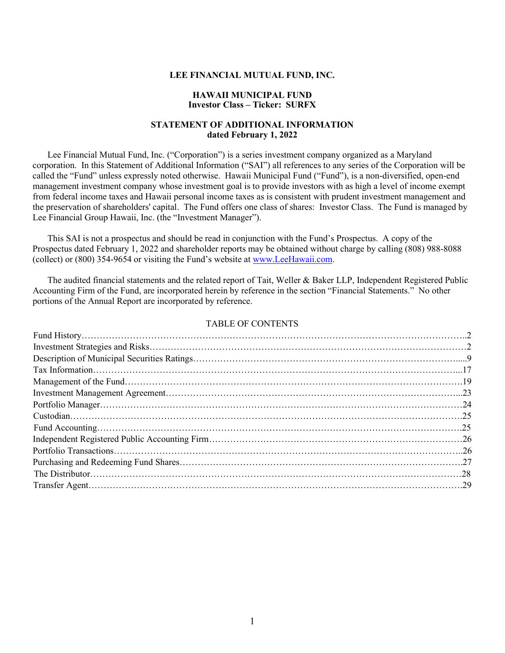#### **LEE FINANCIAL MUTUAL FUND, INC.**

#### **HAWAII MUNICIPAL FUND Investor Class – Ticker: SURFX**

## **STATEMENT OF ADDITIONAL INFORMATION dated February 1, 2022**

Lee Financial Mutual Fund, Inc. ("Corporation") is a series investment company organized as a Maryland corporation. In this Statement of Additional Information ("SAI") all references to any series of the Corporation will be called the "Fund" unless expressly noted otherwise. Hawaii Municipal Fund ("Fund"), is a non-diversified, open-end management investment company whose investment goal is to provide investors with as high a level of income exempt from federal income taxes and Hawaii personal income taxes as is consistent with prudent investment management and the preservation of shareholders' capital. The Fund offers one class of shares: Investor Class. The Fund is managed by Lee Financial Group Hawaii, Inc. (the "Investment Manager").

This SAI is not a prospectus and should be read in conjunction with the Fund's Prospectus. A copy of the Prospectus dated February 1, 2022 and shareholder reports may be obtained without charge by calling (808) 988-8088 (collect) or (800) 354-9654 or visiting the Fund's website at [www.LeeHawaii.com.](http://www.leehawaii.com/)

The audited financial statements and the related report of Tait, Weller & Baker LLP, Independent Registered Public Accounting Firm of the Fund, are incorporated herein by reference in the section "Financial Statements." No other portions of the Annual Report are incorporated by reference.

#### TABLE OF CONTENTS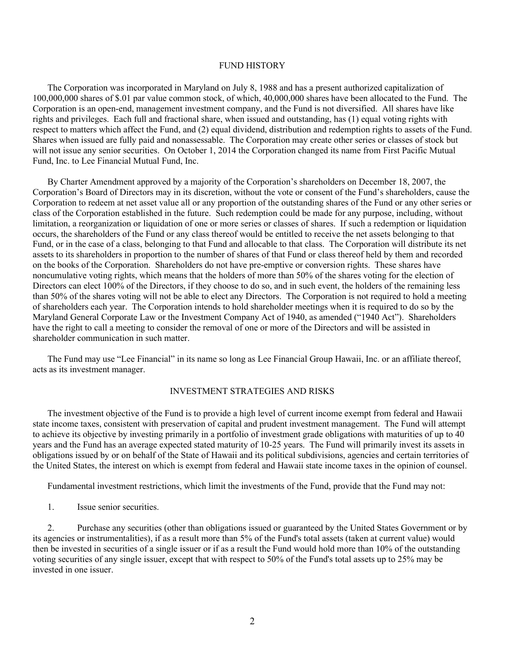#### FUND HISTORY

The Corporation was incorporated in Maryland on July 8, 1988 and has a present authorized capitalization of 100,000,000 shares of \$.01 par value common stock, of which, 40,000,000 shares have been allocated to the Fund. The Corporation is an open-end, management investment company, and the Fund is not diversified. All shares have like rights and privileges. Each full and fractional share, when issued and outstanding, has (1) equal voting rights with respect to matters which affect the Fund, and (2) equal dividend, distribution and redemption rights to assets of the Fund. Shares when issued are fully paid and nonassessable. The Corporation may create other series or classes of stock but will not issue any senior securities. On October 1, 2014 the Corporation changed its name from First Pacific Mutual Fund, Inc. to Lee Financial Mutual Fund, Inc.

By Charter Amendment approved by a majority of the Corporation's shareholders on December 18, 2007, the Corporation's Board of Directors may in its discretion, without the vote or consent of the Fund's shareholders, cause the Corporation to redeem at net asset value all or any proportion of the outstanding shares of the Fund or any other series or class of the Corporation established in the future. Such redemption could be made for any purpose, including, without limitation, a reorganization or liquidation of one or more series or classes of shares. If such a redemption or liquidation occurs, the shareholders of the Fund or any class thereof would be entitled to receive the net assets belonging to that Fund, or in the case of a class, belonging to that Fund and allocable to that class. The Corporation will distribute its net assets to its shareholders in proportion to the number of shares of that Fund or class thereof held by them and recorded on the books of the Corporation. Shareholders do not have pre-emptive or conversion rights. These shares have noncumulative voting rights, which means that the holders of more than 50% of the shares voting for the election of Directors can elect 100% of the Directors, if they choose to do so, and in such event, the holders of the remaining less than 50% of the shares voting will not be able to elect any Directors. The Corporation is not required to hold a meeting of shareholders each year. The Corporation intends to hold shareholder meetings when it is required to do so by the Maryland General Corporate Law or the Investment Company Act of 1940, as amended ("1940 Act"). Shareholders have the right to call a meeting to consider the removal of one or more of the Directors and will be assisted in shareholder communication in such matter.

The Fund may use "Lee Financial" in its name so long as Lee Financial Group Hawaii, Inc. or an affiliate thereof, acts as its investment manager.

## INVESTMENT STRATEGIES AND RISKS

The investment objective of the Fund is to provide a high level of current income exempt from federal and Hawaii state income taxes, consistent with preservation of capital and prudent investment management. The Fund will attempt to achieve its objective by investing primarily in a portfolio of investment grade obligations with maturities of up to 40 years and the Fund has an average expected stated maturity of 10-25 years. The Fund will primarily invest its assets in obligations issued by or on behalf of the State of Hawaii and its political subdivisions, agencies and certain territories of the United States, the interest on which is exempt from federal and Hawaii state income taxes in the opinion of counsel.

Fundamental investment restrictions, which limit the investments of the Fund, provide that the Fund may not:

1. Issue senior securities.

2. Purchase any securities (other than obligations issued or guaranteed by the United States Government or by its agencies or instrumentalities), if as a result more than 5% of the Fund's total assets (taken at current value) would then be invested in securities of a single issuer or if as a result the Fund would hold more than 10% of the outstanding voting securities of any single issuer, except that with respect to 50% of the Fund's total assets up to 25% may be invested in one issuer.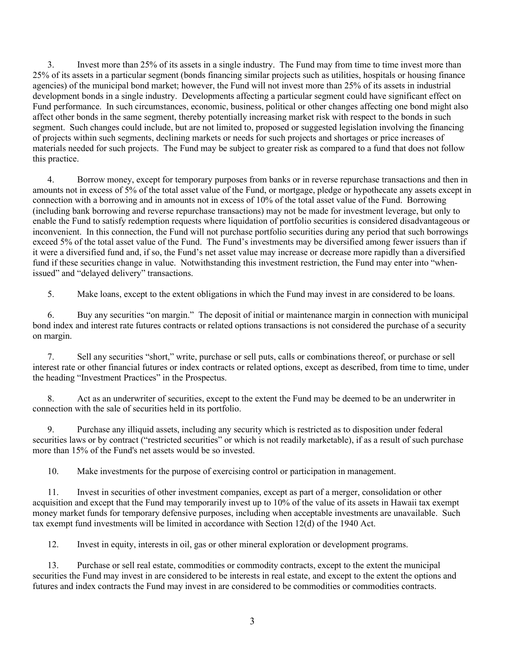3. Invest more than 25% of its assets in a single industry. The Fund may from time to time invest more than 25% of its assets in a particular segment (bonds financing similar projects such as utilities, hospitals or housing finance agencies) of the municipal bond market; however, the Fund will not invest more than 25% of its assets in industrial development bonds in a single industry. Developments affecting a particular segment could have significant effect on Fund performance. In such circumstances, economic, business, political or other changes affecting one bond might also affect other bonds in the same segment, thereby potentially increasing market risk with respect to the bonds in such segment. Such changes could include, but are not limited to, proposed or suggested legislation involving the financing of projects within such segments, declining markets or needs for such projects and shortages or price increases of materials needed for such projects. The Fund may be subject to greater risk as compared to a fund that does not follow this practice.

4. Borrow money, except for temporary purposes from banks or in reverse repurchase transactions and then in amounts not in excess of 5% of the total asset value of the Fund, or mortgage, pledge or hypothecate any assets except in connection with a borrowing and in amounts not in excess of 10% of the total asset value of the Fund. Borrowing (including bank borrowing and reverse repurchase transactions) may not be made for investment leverage, but only to enable the Fund to satisfy redemption requests where liquidation of portfolio securities is considered disadvantageous or inconvenient. In this connection, the Fund will not purchase portfolio securities during any period that such borrowings exceed 5% of the total asset value of the Fund. The Fund's investments may be diversified among fewer issuers than if it were a diversified fund and, if so, the Fund's net asset value may increase or decrease more rapidly than a diversified fund if these securities change in value. Notwithstanding this investment restriction, the Fund may enter into "whenissued" and "delayed delivery" transactions.

5. Make loans, except to the extent obligations in which the Fund may invest in are considered to be loans.

6. Buy any securities "on margin." The deposit of initial or maintenance margin in connection with municipal bond index and interest rate futures contracts or related options transactions is not considered the purchase of a security on margin.

7. Sell any securities "short," write, purchase or sell puts, calls or combinations thereof, or purchase or sell interest rate or other financial futures or index contracts or related options, except as described, from time to time, under the heading "Investment Practices" in the Prospectus.

8. Act as an underwriter of securities, except to the extent the Fund may be deemed to be an underwriter in connection with the sale of securities held in its portfolio.

9. Purchase any illiquid assets, including any security which is restricted as to disposition under federal securities laws or by contract ("restricted securities" or which is not readily marketable), if as a result of such purchase more than 15% of the Fund's net assets would be so invested.

10. Make investments for the purpose of exercising control or participation in management.

11. Invest in securities of other investment companies, except as part of a merger, consolidation or other acquisition and except that the Fund may temporarily invest up to 10% of the value of its assets in Hawaii tax exempt money market funds for temporary defensive purposes, including when acceptable investments are unavailable. Such tax exempt fund investments will be limited in accordance with Section 12(d) of the 1940 Act.

12. Invest in equity, interests in oil, gas or other mineral exploration or development programs.

13. Purchase or sell real estate, commodities or commodity contracts, except to the extent the municipal securities the Fund may invest in are considered to be interests in real estate, and except to the extent the options and futures and index contracts the Fund may invest in are considered to be commodities or commodities contracts.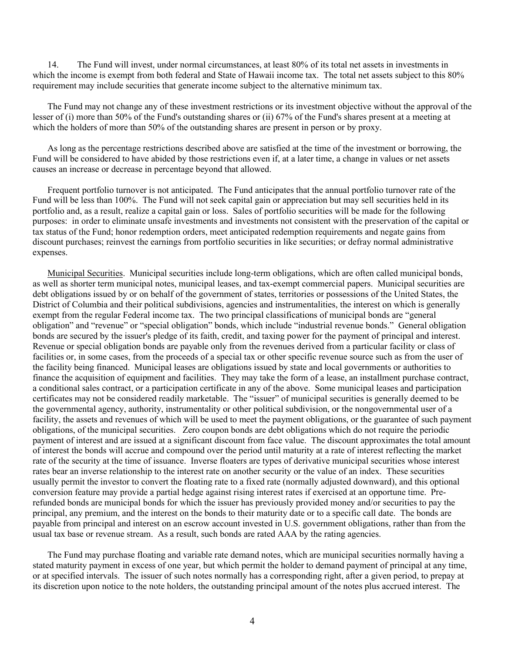14. The Fund will invest, under normal circumstances, at least 80% of its total net assets in investments in which the income is exempt from both federal and State of Hawaii income tax. The total net assets subject to this 80% requirement may include securities that generate income subject to the alternative minimum tax.

The Fund may not change any of these investment restrictions or its investment objective without the approval of the lesser of (i) more than 50% of the Fund's outstanding shares or (ii) 67% of the Fund's shares present at a meeting at which the holders of more than 50% of the outstanding shares are present in person or by proxy.

As long as the percentage restrictions described above are satisfied at the time of the investment or borrowing, the Fund will be considered to have abided by those restrictions even if, at a later time, a change in values or net assets causes an increase or decrease in percentage beyond that allowed.

Frequent portfolio turnover is not anticipated. The Fund anticipates that the annual portfolio turnover rate of the Fund will be less than 100%. The Fund will not seek capital gain or appreciation but may sell securities held in its portfolio and, as a result, realize a capital gain or loss. Sales of portfolio securities will be made for the following purposes: in order to eliminate unsafe investments and investments not consistent with the preservation of the capital or tax status of the Fund; honor redemption orders, meet anticipated redemption requirements and negate gains from discount purchases; reinvest the earnings from portfolio securities in like securities; or defray normal administrative expenses.

Municipal Securities. Municipal securities include long-term obligations, which are often called municipal bonds, as well as shorter term municipal notes, municipal leases, and tax-exempt commercial papers. Municipal securities are debt obligations issued by or on behalf of the government of states, territories or possessions of the United States, the District of Columbia and their political subdivisions, agencies and instrumentalities, the interest on which is generally exempt from the regular Federal income tax. The two principal classifications of municipal bonds are "general obligation" and "revenue" or "special obligation" bonds, which include "industrial revenue bonds." General obligation bonds are secured by the issuer's pledge of its faith, credit, and taxing power for the payment of principal and interest. Revenue or special obligation bonds are payable only from the revenues derived from a particular facility or class of facilities or, in some cases, from the proceeds of a special tax or other specific revenue source such as from the user of the facility being financed. Municipal leases are obligations issued by state and local governments or authorities to finance the acquisition of equipment and facilities. They may take the form of a lease, an installment purchase contract, a conditional sales contract, or a participation certificate in any of the above. Some municipal leases and participation certificates may not be considered readily marketable. The "issuer" of municipal securities is generally deemed to be the governmental agency, authority, instrumentality or other political subdivision, or the nongovernmental user of a facility, the assets and revenues of which will be used to meet the payment obligations, or the guarantee of such payment obligations, of the municipal securities. Zero coupon bonds are debt obligations which do not require the periodic payment of interest and are issued at a significant discount from face value. The discount approximates the total amount of interest the bonds will accrue and compound over the period until maturity at a rate of interest reflecting the market rate of the security at the time of issuance. Inverse floaters are types of derivative municipal securities whose interest rates bear an inverse relationship to the interest rate on another security or the value of an index. These securities usually permit the investor to convert the floating rate to a fixed rate (normally adjusted downward), and this optional conversion feature may provide a partial hedge against rising interest rates if exercised at an opportune time. Prerefunded bonds are municipal bonds for which the issuer has previously provided money and/or securities to pay the principal, any premium, and the interest on the bonds to their maturity date or to a specific call date. The bonds are payable from principal and interest on an escrow account invested in U.S. government obligations, rather than from the usual tax base or revenue stream. As a result, such bonds are rated AAA by the rating agencies.

The Fund may purchase floating and variable rate demand notes, which are municipal securities normally having a stated maturity payment in excess of one year, but which permit the holder to demand payment of principal at any time, or at specified intervals. The issuer of such notes normally has a corresponding right, after a given period, to prepay at its discretion upon notice to the note holders, the outstanding principal amount of the notes plus accrued interest. The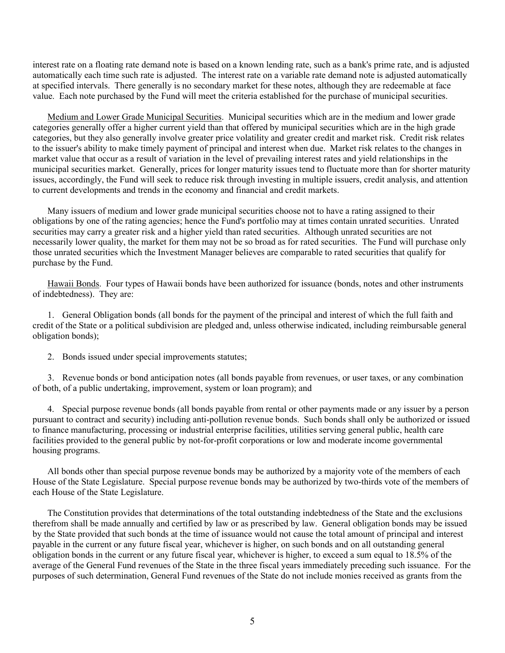interest rate on a floating rate demand note is based on a known lending rate, such as a bank's prime rate, and is adjusted automatically each time such rate is adjusted. The interest rate on a variable rate demand note is adjusted automatically at specified intervals. There generally is no secondary market for these notes, although they are redeemable at face value. Each note purchased by the Fund will meet the criteria established for the purchase of municipal securities.

Medium and Lower Grade Municipal Securities. Municipal securities which are in the medium and lower grade categories generally offer a higher current yield than that offered by municipal securities which are in the high grade categories, but they also generally involve greater price volatility and greater credit and market risk. Credit risk relates to the issuer's ability to make timely payment of principal and interest when due. Market risk relates to the changes in market value that occur as a result of variation in the level of prevailing interest rates and yield relationships in the municipal securities market. Generally, prices for longer maturity issues tend to fluctuate more than for shorter maturity issues, accordingly, the Fund will seek to reduce risk through investing in multiple issuers, credit analysis, and attention to current developments and trends in the economy and financial and credit markets.

Many issuers of medium and lower grade municipal securities choose not to have a rating assigned to their obligations by one of the rating agencies; hence the Fund's portfolio may at times contain unrated securities. Unrated securities may carry a greater risk and a higher yield than rated securities. Although unrated securities are not necessarily lower quality, the market for them may not be so broad as for rated securities. The Fund will purchase only those unrated securities which the Investment Manager believes are comparable to rated securities that qualify for purchase by the Fund.

Hawaii Bonds. Four types of Hawaii bonds have been authorized for issuance (bonds, notes and other instruments of indebtedness). They are:

1. General Obligation bonds (all bonds for the payment of the principal and interest of which the full faith and credit of the State or a political subdivision are pledged and, unless otherwise indicated, including reimbursable general obligation bonds);

2. Bonds issued under special improvements statutes;

3. Revenue bonds or bond anticipation notes (all bonds payable from revenues, or user taxes, or any combination of both, of a public undertaking, improvement, system or loan program); and

4. Special purpose revenue bonds (all bonds payable from rental or other payments made or any issuer by a person pursuant to contract and security) including anti-pollution revenue bonds. Such bonds shall only be authorized or issued to finance manufacturing, processing or industrial enterprise facilities, utilities serving general public, health care facilities provided to the general public by not-for-profit corporations or low and moderate income governmental housing programs.

All bonds other than special purpose revenue bonds may be authorized by a majority vote of the members of each House of the State Legislature. Special purpose revenue bonds may be authorized by two-thirds vote of the members of each House of the State Legislature.

The Constitution provides that determinations of the total outstanding indebtedness of the State and the exclusions therefrom shall be made annually and certified by law or as prescribed by law. General obligation bonds may be issued by the State provided that such bonds at the time of issuance would not cause the total amount of principal and interest payable in the current or any future fiscal year, whichever is higher, on such bonds and on all outstanding general obligation bonds in the current or any future fiscal year, whichever is higher, to exceed a sum equal to 18.5% of the average of the General Fund revenues of the State in the three fiscal years immediately preceding such issuance. For the purposes of such determination, General Fund revenues of the State do not include monies received as grants from the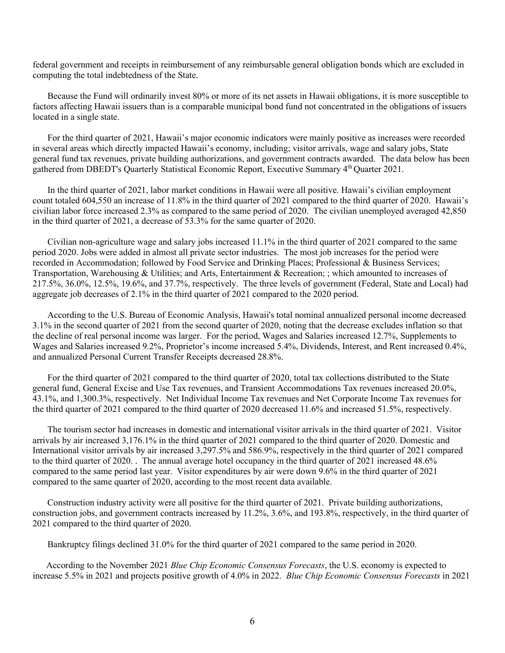federal government and receipts in reimbursement of any reimbursable general obligation bonds which are excluded in computing the total indebtedness of the State.

Because the Fund will ordinarily invest 80% or more of its net assets in Hawaii obligations, it is more susceptible to factors affecting Hawaii issuers than is a comparable municipal bond fund not concentrated in the obligations of issuers located in a single state.

For the third quarter of 2021, Hawaii's major economic indicators were mainly positive as increases were recorded in several areas which directly impacted Hawaii's economy, including; visitor arrivals, wage and salary jobs, State general fund tax revenues, private building authorizations, and government contracts awarded. The data below has been gathered from DBEDT's Quarterly Statistical Economic Report, Executive Summary 4th Quarter 2021.

In the third quarter of 2021, labor market conditions in Hawaii were all positive. Hawaii's civilian employment count totaled 604,550 an increase of 11.8% in the third quarter of 2021 compared to the third quarter of 2020. Hawaii's civilian labor force increased 2.3% as compared to the same period of 2020. The civilian unemployed averaged 42,850 in the third quarter of 2021, a decrease of 53.3% for the same quarter of 2020.

Civilian non-agriculture wage and salary jobs increased 11.1% in the third quarter of 2021 compared to the same period 2020. Jobs were added in almost all private sector industries. The most job increases for the period were recorded in Accommodation; followed by Food Service and Drinking Places; Professional & Business Services; Transportation, Warehousing & Utilities; and Arts, Entertainment & Recreation; ; which amounted to increases of 217.5%, 36.0%, 12.5%, 19.6%, and 37.7%, respectively. The three levels of government (Federal, State and Local) had aggregate job decreases of 2.1% in the third quarter of 2021 compared to the 2020 period.

According to the U.S. Bureau of Economic Analysis, Hawaii's total nominal annualized personal income decreased 3.1% in the second quarter of 2021 from the second quarter of 2020, noting that the decrease excludes inflation so that the decline of real personal income was larger. For the period, Wages and Salaries increased 12.7%, Supplements to Wages and Salaries increased 9.2%, Proprietor's income increased 5.4%, Dividends, Interest, and Rent increased 0.4%, and annualized Personal Current Transfer Receipts decreased 28.8%.

For the third quarter of 2021 compared to the third quarter of 2020, total tax collections distributed to the State general fund, General Excise and Use Tax revenues, and Transient Accommodations Tax revenues increased 20.0%, 43.1%, and 1,300.3%, respectively. Net Individual Income Tax revenues and Net Corporate Income Tax revenues for the third quarter of 2021 compared to the third quarter of 2020 decreased 11.6% and increased 51.5%, respectively.

The tourism sector had increases in domestic and international visitor arrivals in the third quarter of 2021. Visitor arrivals by air increased 3,176.1% in the third quarter of 2021 compared to the third quarter of 2020. Domestic and International visitor arrivals by air increased 3,297.5% and 586.9%, respectively in the third quarter of 2021 compared to the third quarter of 2020. . The annual average hotel occupancy in the third quarter of 2021 increased 48.6% compared to the same period last year. Visitor expenditures by air were down 9.6% in the third quarter of 2021 compared to the same quarter of 2020, according to the most recent data available.

Construction industry activity were all positive for the third quarter of 2021. Private building authorizations, construction jobs, and government contracts increased by 11.2%, 3.6%, and 193.8%, respectively, in the third quarter of 2021 compared to the third quarter of 2020.

Bankruptcy filings declined 31.0% for the third quarter of 2021 compared to the same period in 2020.

 According to the November 2021 *Blue Chip Economic Consensus Forecasts*, the U.S. economy is expected to increase 5.5% in 2021 and projects positive growth of 4.0% in 2022. *Blue Chip Economic Consensus Forecasts* in 2021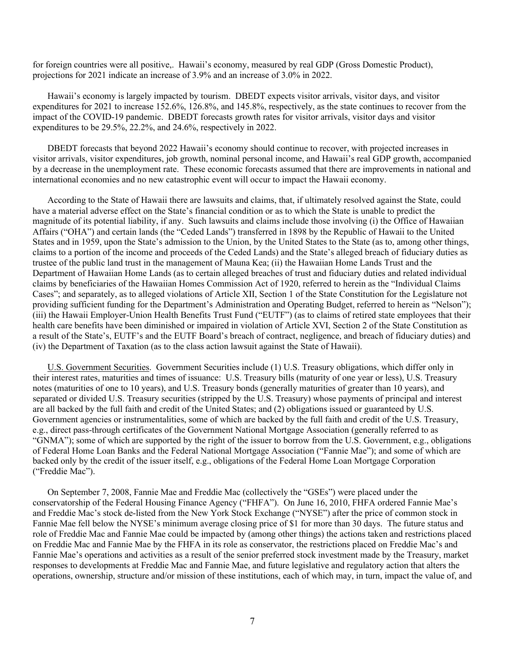for foreign countries were all positive,. Hawaii's economy, measured by real GDP (Gross Domestic Product), projections for 2021 indicate an increase of 3.9% and an increase of 3.0% in 2022.

Hawaii's economy is largely impacted by tourism. DBEDT expects visitor arrivals, visitor days, and visitor expenditures for 2021 to increase 152.6%, 126.8%, and 145.8%, respectively, as the state continues to recover from the impact of the COVID-19 pandemic. DBEDT forecasts growth rates for visitor arrivals, visitor days and visitor expenditures to be 29.5%, 22.2%, and 24.6%, respectively in 2022.

DBEDT forecasts that beyond 2022 Hawaii's economy should continue to recover, with projected increases in visitor arrivals, visitor expenditures, job growth, nominal personal income, and Hawaii's real GDP growth, accompanied by a decrease in the unemployment rate. These economic forecasts assumed that there are improvements in national and international economies and no new catastrophic event will occur to impact the Hawaii economy.

According to the State of Hawaii there are lawsuits and claims, that, if ultimately resolved against the State, could have a material adverse effect on the State's financial condition or as to which the State is unable to predict the magnitude of its potential liability, if any. Such lawsuits and claims include those involving (i) the Office of Hawaiian Affairs ("OHA") and certain lands (the "Ceded Lands") transferred in 1898 by the Republic of Hawaii to the United States and in 1959, upon the State's admission to the Union, by the United States to the State (as to, among other things, claims to a portion of the income and proceeds of the Ceded Lands) and the State's alleged breach of fiduciary duties as trustee of the public land trust in the management of Mauna Kea; (ii) the Hawaiian Home Lands Trust and the Department of Hawaiian Home Lands (as to certain alleged breaches of trust and fiduciary duties and related individual claims by beneficiaries of the Hawaiian Homes Commission Act of 1920, referred to herein as the "Individual Claims Cases"; and separately, as to alleged violations of Article XII, Section 1 of the State Constitution for the Legislature not providing sufficient funding for the Department's Administration and Operating Budget, referred to herein as "Nelson"); (iii) the Hawaii Employer-Union Health Benefits Trust Fund ("EUTF") (as to claims of retired state employees that their health care benefits have been diminished or impaired in violation of Article XVI, Section 2 of the State Constitution as a result of the State's, EUTF's and the EUTF Board's breach of contract, negligence, and breach of fiduciary duties) and (iv) the Department of Taxation (as to the class action lawsuit against the State of Hawaii).

U.S. Government Securities. Government Securities include (1) U.S. Treasury obligations, which differ only in their interest rates, maturities and times of issuance: U.S. Treasury bills (maturity of one year or less), U.S. Treasury notes (maturities of one to 10 years), and U.S. Treasury bonds (generally maturities of greater than 10 years), and separated or divided U.S. Treasury securities (stripped by the U.S. Treasury) whose payments of principal and interest are all backed by the full faith and credit of the United States; and (2) obligations issued or guaranteed by U.S. Government agencies or instrumentalities, some of which are backed by the full faith and credit of the U.S. Treasury, e.g., direct pass-through certificates of the Government National Mortgage Association (generally referred to as "GNMA"); some of which are supported by the right of the issuer to borrow from the U.S. Government, e.g., obligations of Federal Home Loan Banks and the Federal National Mortgage Association ("Fannie Mae"); and some of which are backed only by the credit of the issuer itself, e.g., obligations of the Federal Home Loan Mortgage Corporation ("Freddie Mac").

On September 7, 2008, Fannie Mae and Freddie Mac (collectively the "GSEs") were placed under the conservatorship of the Federal Housing Finance Agency ("FHFA"). On June 16, 2010, FHFA ordered Fannie Mae's and Freddie Mac's stock de-listed from the New York Stock Exchange ("NYSE") after the price of common stock in Fannie Mae fell below the NYSE's minimum average closing price of \$1 for more than 30 days. The future status and role of Freddie Mac and Fannie Mae could be impacted by (among other things) the actions taken and restrictions placed on Freddie Mac and Fannie Mae by the FHFA in its role as conservator, the restrictions placed on Freddie Mac's and Fannie Mae's operations and activities as a result of the senior preferred stock investment made by the Treasury, market responses to developments at Freddie Mac and Fannie Mae, and future legislative and regulatory action that alters the operations, ownership, structure and/or mission of these institutions, each of which may, in turn, impact the value of, and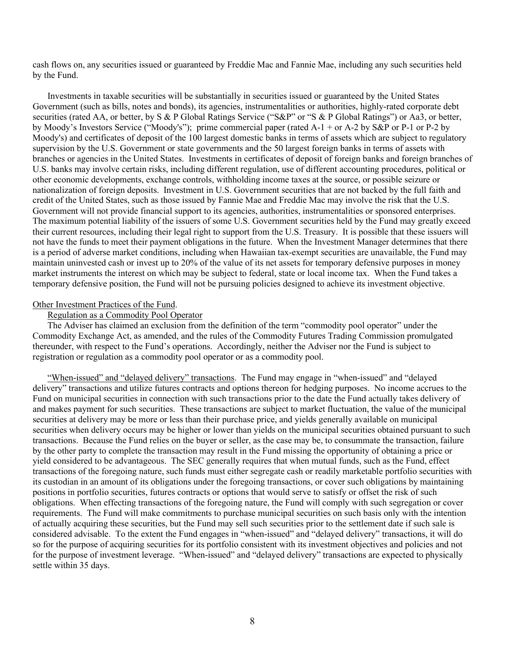cash flows on, any securities issued or guaranteed by Freddie Mac and Fannie Mae, including any such securities held by the Fund.

Investments in taxable securities will be substantially in securities issued or guaranteed by the United States Government (such as bills, notes and bonds), its agencies, instrumentalities or authorities, highly-rated corporate debt securities (rated AA, or better, by S & P Global Ratings Service ("S&P" or "S & P Global Ratings") or Aa3, or better, by Moody's Investors Service ("Moody's"); prime commercial paper (rated A-1 + or A-2 by S&P or P-1 or P-2 by Moody's) and certificates of deposit of the 100 largest domestic banks in terms of assets which are subject to regulatory supervision by the U.S. Government or state governments and the 50 largest foreign banks in terms of assets with branches or agencies in the United States. Investments in certificates of deposit of foreign banks and foreign branches of U.S. banks may involve certain risks, including different regulation, use of different accounting procedures, political or other economic developments, exchange controls, withholding income taxes at the source, or possible seizure or nationalization of foreign deposits. Investment in U.S. Government securities that are not backed by the full faith and credit of the United States, such as those issued by Fannie Mae and Freddie Mac may involve the risk that the U.S. Government will not provide financial support to its agencies, authorities, instrumentalities or sponsored enterprises. The maximum potential liability of the issuers of some U.S. Government securities held by the Fund may greatly exceed their current resources, including their legal right to support from the U.S. Treasury. It is possible that these issuers will not have the funds to meet their payment obligations in the future. When the Investment Manager determines that there is a period of adverse market conditions, including when Hawaiian tax-exempt securities are unavailable, the Fund may maintain uninvested cash or invest up to 20% of the value of its net assets for temporary defensive purposes in money market instruments the interest on which may be subject to federal, state or local income tax. When the Fund takes a temporary defensive position, the Fund will not be pursuing policies designed to achieve its investment objective.

#### Other Investment Practices of the Fund.

## Regulation as a Commodity Pool Operator

The Adviser has claimed an exclusion from the definition of the term "commodity pool operator" under the Commodity Exchange Act, as amended, and the rules of the Commodity Futures Trading Commission promulgated thereunder, with respect to the Fund's operations. Accordingly, neither the Adviser nor the Fund is subject to registration or regulation as a commodity pool operator or as a commodity pool.

"When-issued" and "delayed delivery" transactions. The Fund may engage in "when-issued" and "delayed delivery" transactions and utilize futures contracts and options thereon for hedging purposes. No income accrues to the Fund on municipal securities in connection with such transactions prior to the date the Fund actually takes delivery of and makes payment for such securities. These transactions are subject to market fluctuation, the value of the municipal securities at delivery may be more or less than their purchase price, and yields generally available on municipal securities when delivery occurs may be higher or lower than yields on the municipal securities obtained pursuant to such transactions. Because the Fund relies on the buyer or seller, as the case may be, to consummate the transaction, failure by the other party to complete the transaction may result in the Fund missing the opportunity of obtaining a price or yield considered to be advantageous. The SEC generally requires that when mutual funds, such as the Fund, effect transactions of the foregoing nature, such funds must either segregate cash or readily marketable portfolio securities with its custodian in an amount of its obligations under the foregoing transactions, or cover such obligations by maintaining positions in portfolio securities, futures contracts or options that would serve to satisfy or offset the risk of such obligations. When effecting transactions of the foregoing nature, the Fund will comply with such segregation or cover requirements. The Fund will make commitments to purchase municipal securities on such basis only with the intention of actually acquiring these securities, but the Fund may sell such securities prior to the settlement date if such sale is considered advisable. To the extent the Fund engages in "when-issued" and "delayed delivery" transactions, it will do so for the purpose of acquiring securities for its portfolio consistent with its investment objectives and policies and not for the purpose of investment leverage. "When-issued" and "delayed delivery" transactions are expected to physically settle within 35 days.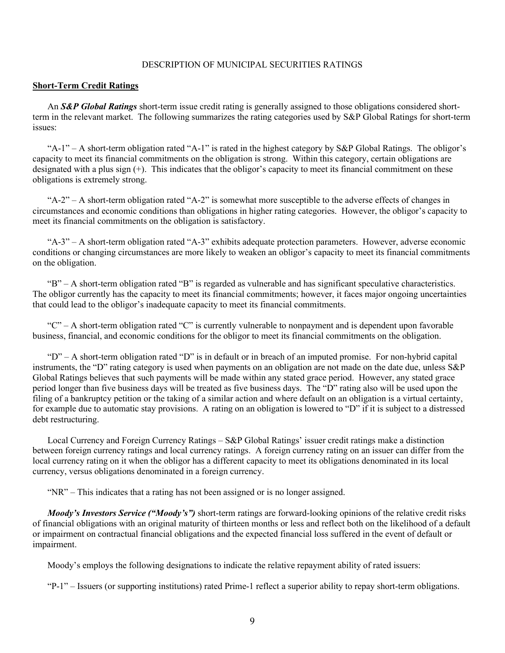## DESCRIPTION OF MUNICIPAL SECURITIES RATINGS

#### **Short-Term Credit Ratings**

An *S&P Global Ratings* short-term issue credit rating is generally assigned to those obligations considered shortterm in the relevant market. The following summarizes the rating categories used by S&P Global Ratings for short-term issues:

"A-1" – A short-term obligation rated "A-1" is rated in the highest category by  $S\&P$  Global Ratings. The obligor's capacity to meet its financial commitments on the obligation is strong. Within this category, certain obligations are designated with a plus sign (+). This indicates that the obligor's capacity to meet its financial commitment on these obligations is extremely strong.

"A-2" – A short-term obligation rated "A-2" is somewhat more susceptible to the adverse effects of changes in circumstances and economic conditions than obligations in higher rating categories. However, the obligor's capacity to meet its financial commitments on the obligation is satisfactory.

"A-3" – A short-term obligation rated "A-3" exhibits adequate protection parameters. However, adverse economic conditions or changing circumstances are more likely to weaken an obligor's capacity to meet its financial commitments on the obligation.

"B" – A short-term obligation rated "B" is regarded as vulnerable and has significant speculative characteristics. The obligor currently has the capacity to meet its financial commitments; however, it faces major ongoing uncertainties that could lead to the obligor's inadequate capacity to meet its financial commitments.

"C" – A short-term obligation rated "C" is currently vulnerable to nonpayment and is dependent upon favorable business, financial, and economic conditions for the obligor to meet its financial commitments on the obligation.

" $D$ " – A short-term obligation rated "D" is in default or in breach of an imputed promise. For non-hybrid capital instruments, the "D" rating category is used when payments on an obligation are not made on the date due, unless S&P Global Ratings believes that such payments will be made within any stated grace period. However, any stated grace period longer than five business days will be treated as five business days. The "D" rating also will be used upon the filing of a bankruptcy petition or the taking of a similar action and where default on an obligation is a virtual certainty, for example due to automatic stay provisions. A rating on an obligation is lowered to "D" if it is subject to a distressed debt restructuring.

Local Currency and Foreign Currency Ratings – S&P Global Ratings' issuer credit ratings make a distinction between foreign currency ratings and local currency ratings. A foreign currency rating on an issuer can differ from the local currency rating on it when the obligor has a different capacity to meet its obligations denominated in its local currency, versus obligations denominated in a foreign currency.

"NR" – This indicates that a rating has not been assigned or is no longer assigned.

*Moody's Investors Service ("Moody's")* short-term ratings are forward-looking opinions of the relative credit risks of financial obligations with an original maturity of thirteen months or less and reflect both on the likelihood of a default or impairment on contractual financial obligations and the expected financial loss suffered in the event of default or impairment.

Moody's employs the following designations to indicate the relative repayment ability of rated issuers:

"P-1" – Issuers (or supporting institutions) rated Prime-1 reflect a superior ability to repay short-term obligations.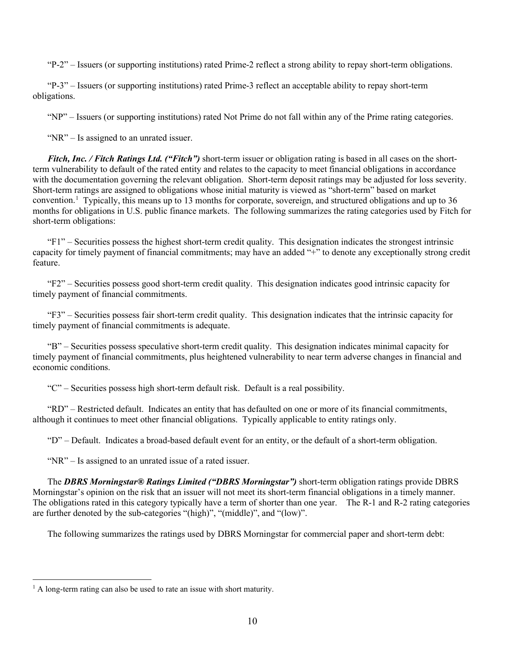"P-2" – Issuers (or supporting institutions) rated Prime-2 reflect a strong ability to repay short-term obligations.

"P-3" – Issuers (or supporting institutions) rated Prime-3 reflect an acceptable ability to repay short-term obligations.

"NP" – Issuers (or supporting institutions) rated Not Prime do not fall within any of the Prime rating categories.

"NR" – Is assigned to an unrated issuer.

*Fitch, Inc. / Fitch Ratings Ltd. ("Fitch")* short-term issuer or obligation rating is based in all cases on the shortterm vulnerability to default of the rated entity and relates to the capacity to meet financial obligations in accordance with the documentation governing the relevant obligation. Short-term deposit ratings may be adjusted for loss severity. Short-term ratings are assigned to obligations whose initial maturity is viewed as "short-term" based on market convention.<sup>[1](#page-9-0)</sup> Typically, this means up to 13 months for corporate, sovereign, and structured obligations and up to 36 months for obligations in U.S. public finance markets. The following summarizes the rating categories used by Fitch for short-term obligations:

"F1" – Securities possess the highest short-term credit quality. This designation indicates the strongest intrinsic capacity for timely payment of financial commitments; may have an added "+" to denote any exceptionally strong credit feature.

"F2" – Securities possess good short-term credit quality. This designation indicates good intrinsic capacity for timely payment of financial commitments.

"F3" – Securities possess fair short-term credit quality. This designation indicates that the intrinsic capacity for timely payment of financial commitments is adequate.

"B" – Securities possess speculative short-term credit quality. This designation indicates minimal capacity for timely payment of financial commitments, plus heightened vulnerability to near term adverse changes in financial and economic conditions.

"C" – Securities possess high short-term default risk. Default is a real possibility.

"RD" – Restricted default. Indicates an entity that has defaulted on one or more of its financial commitments, although it continues to meet other financial obligations. Typically applicable to entity ratings only.

"D" – Default. Indicates a broad-based default event for an entity, or the default of a short-term obligation.

"NR" – Is assigned to an unrated issue of a rated issuer.

The *DBRS Morningstar® Ratings Limited ("DBRS Morningstar")* short-term obligation ratings provide DBRS Morningstar's opinion on the risk that an issuer will not meet its short-term financial obligations in a timely manner. The obligations rated in this category typically have a term of shorter than one year. The R-1 and R-2 rating categories are further denoted by the sub-categories "(high)", "(middle)", and "(low)".

The following summarizes the ratings used by DBRS Morningstar for commercial paper and short-term debt:

<span id="page-9-0"></span> $<sup>1</sup>$  A long-term rating can also be used to rate an issue with short maturity.</sup>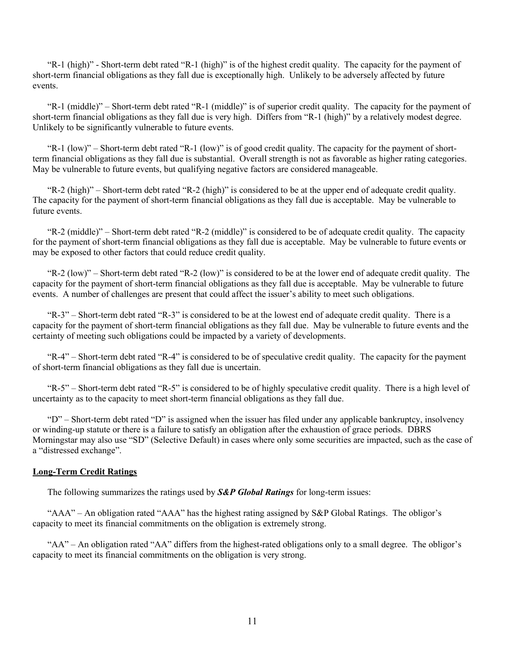"R-1 (high)" - Short-term debt rated "R-1 (high)" is of the highest credit quality. The capacity for the payment of short-term financial obligations as they fall due is exceptionally high. Unlikely to be adversely affected by future events.

"R-1 (middle)" – Short-term debt rated "R-1 (middle)" is of superior credit quality. The capacity for the payment of short-term financial obligations as they fall due is very high. Differs from "R-1 (high)" by a relatively modest degree. Unlikely to be significantly vulnerable to future events.

"R-1 (low)" – Short-term debt rated "R-1 (low)" is of good credit quality. The capacity for the payment of shortterm financial obligations as they fall due is substantial. Overall strength is not as favorable as higher rating categories. May be vulnerable to future events, but qualifying negative factors are considered manageable.

"R-2 (high)" – Short-term debt rated "R-2 (high)" is considered to be at the upper end of adequate credit quality. The capacity for the payment of short-term financial obligations as they fall due is acceptable. May be vulnerable to future events.

"R-2 (middle)" – Short-term debt rated "R-2 (middle)" is considered to be of adequate credit quality. The capacity for the payment of short-term financial obligations as they fall due is acceptable. May be vulnerable to future events or may be exposed to other factors that could reduce credit quality.

"R-2 (low)" – Short-term debt rated "R-2 (low)" is considered to be at the lower end of adequate credit quality. The capacity for the payment of short-term financial obligations as they fall due is acceptable. May be vulnerable to future events. A number of challenges are present that could affect the issuer's ability to meet such obligations.

"R-3" – Short-term debt rated "R-3" is considered to be at the lowest end of adequate credit quality. There is a capacity for the payment of short-term financial obligations as they fall due. May be vulnerable to future events and the certainty of meeting such obligations could be impacted by a variety of developments.

"R-4" – Short-term debt rated "R-4" is considered to be of speculative credit quality. The capacity for the payment of short-term financial obligations as they fall due is uncertain.

"R-5" – Short-term debt rated "R-5" is considered to be of highly speculative credit quality. There is a high level of uncertainty as to the capacity to meet short-term financial obligations as they fall due.

" $D$ " – Short-term debt rated "D" is assigned when the issuer has filed under any applicable bankruptcy, insolvency or winding-up statute or there is a failure to satisfy an obligation after the exhaustion of grace periods. DBRS Morningstar may also use "SD" (Selective Default) in cases where only some securities are impacted, such as the case of a "distressed exchange".

#### **Long-Term Credit Ratings**

The following summarizes the ratings used by *S&P Global Ratings* for long-term issues:

"AAA" – An obligation rated "AAA" has the highest rating assigned by S&P Global Ratings. The obligor's capacity to meet its financial commitments on the obligation is extremely strong.

"AA" – An obligation rated "AA" differs from the highest-rated obligations only to a small degree. The obligor's capacity to meet its financial commitments on the obligation is very strong.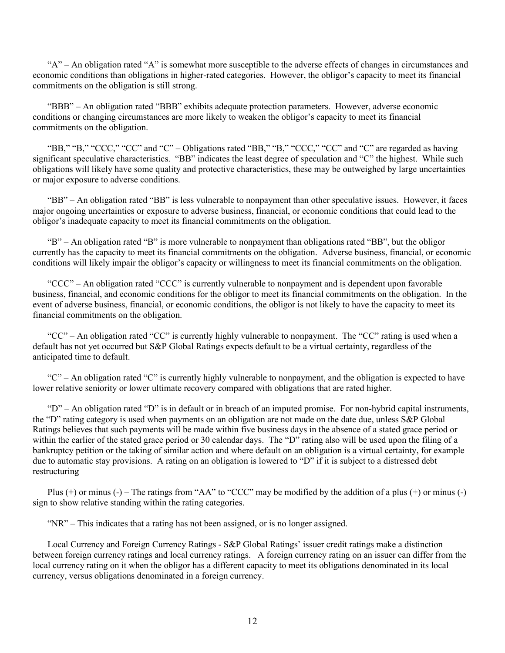" $A$ " – An obligation rated " $A$ " is somewhat more susceptible to the adverse effects of changes in circumstances and economic conditions than obligations in higher-rated categories. However, the obligor's capacity to meet its financial commitments on the obligation is still strong.

"BBB" – An obligation rated "BBB" exhibits adequate protection parameters. However, adverse economic conditions or changing circumstances are more likely to weaken the obligor's capacity to meet its financial commitments on the obligation.

"BB," "B," "CCC," "CC" and "C" – Obligations rated "BB," "B," "CCC," "CC" and "C" are regarded as having significant speculative characteristics. "BB" indicates the least degree of speculation and "C" the highest. While such obligations will likely have some quality and protective characteristics, these may be outweighed by large uncertainties or major exposure to adverse conditions.

"BB" – An obligation rated "BB" is less vulnerable to nonpayment than other speculative issues. However, it faces major ongoing uncertainties or exposure to adverse business, financial, or economic conditions that could lead to the obligor's inadequate capacity to meet its financial commitments on the obligation.

"B" – An obligation rated "B" is more vulnerable to nonpayment than obligations rated "BB", but the obligor currently has the capacity to meet its financial commitments on the obligation. Adverse business, financial, or economic conditions will likely impair the obligor's capacity or willingness to meet its financial commitments on the obligation.

"CCC" – An obligation rated "CCC" is currently vulnerable to nonpayment and is dependent upon favorable business, financial, and economic conditions for the obligor to meet its financial commitments on the obligation. In the event of adverse business, financial, or economic conditions, the obligor is not likely to have the capacity to meet its financial commitments on the obligation.

"CC" – An obligation rated "CC" is currently highly vulnerable to nonpayment. The "CC" rating is used when a default has not yet occurred but S&P Global Ratings expects default to be a virtual certainty, regardless of the anticipated time to default.

" $C$ " – An obligation rated "C" is currently highly vulnerable to nonpayment, and the obligation is expected to have lower relative seniority or lower ultimate recovery compared with obligations that are rated higher.

" $D$ " – An obligation rated "D" is in default or in breach of an imputed promise. For non-hybrid capital instruments, the "D" rating category is used when payments on an obligation are not made on the date due, unless S&P Global Ratings believes that such payments will be made within five business days in the absence of a stated grace period or within the earlier of the stated grace period or 30 calendar days. The "D" rating also will be used upon the filing of a bankruptcy petition or the taking of similar action and where default on an obligation is a virtual certainty, for example due to automatic stay provisions. A rating on an obligation is lowered to "D" if it is subject to a distressed debt restructuring

Plus  $(+)$  or minus  $(-)$  – The ratings from "AA" to "CCC" may be modified by the addition of a plus  $(+)$  or minus  $(-)$ sign to show relative standing within the rating categories.

"NR" – This indicates that a rating has not been assigned, or is no longer assigned.

Local Currency and Foreign Currency Ratings - S&P Global Ratings' issuer credit ratings make a distinction between foreign currency ratings and local currency ratings. A foreign currency rating on an issuer can differ from the local currency rating on it when the obligor has a different capacity to meet its obligations denominated in its local currency, versus obligations denominated in a foreign currency.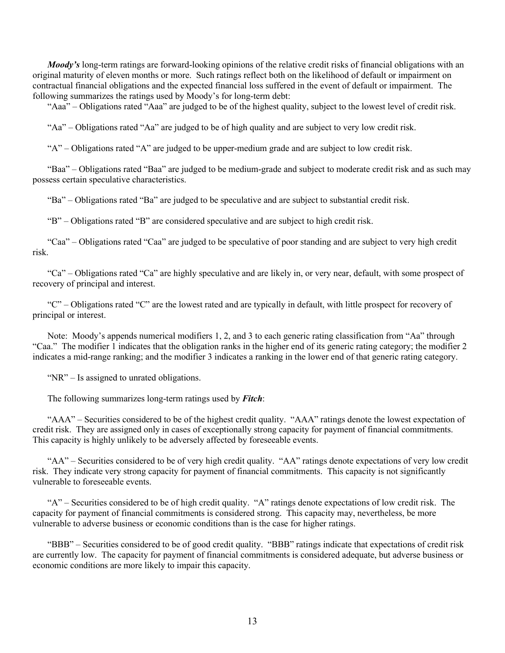*Moody's* long-term ratings are forward-looking opinions of the relative credit risks of financial obligations with an original maturity of eleven months or more. Such ratings reflect both on the likelihood of default or impairment on contractual financial obligations and the expected financial loss suffered in the event of default or impairment. The following summarizes the ratings used by Moody's for long-term debt:

"Aaa" – Obligations rated "Aaa" are judged to be of the highest quality, subject to the lowest level of credit risk.

"Aa" – Obligations rated "Aa" are judged to be of high quality and are subject to very low credit risk.

" $A$ " – Obligations rated "A" are judged to be upper-medium grade and are subject to low credit risk.

"Baa" – Obligations rated "Baa" are judged to be medium-grade and subject to moderate credit risk and as such may possess certain speculative characteristics.

"Ba" – Obligations rated "Ba" are judged to be speculative and are subject to substantial credit risk.

"B" – Obligations rated "B" are considered speculative and are subject to high credit risk.

"Caa" – Obligations rated "Caa" are judged to be speculative of poor standing and are subject to very high credit risk.

"Ca" – Obligations rated "Ca" are highly speculative and are likely in, or very near, default, with some prospect of recovery of principal and interest.

" $C$ " – Obligations rated "C" are the lowest rated and are typically in default, with little prospect for recovery of principal or interest.

Note: Moody's appends numerical modifiers 1, 2, and 3 to each generic rating classification from "Aa" through "Caa." The modifier 1 indicates that the obligation ranks in the higher end of its generic rating category; the modifier 2 indicates a mid-range ranking; and the modifier 3 indicates a ranking in the lower end of that generic rating category.

"NR" – Is assigned to unrated obligations.

The following summarizes long-term ratings used by *Fitch*:

"AAA" – Securities considered to be of the highest credit quality. "AAA" ratings denote the lowest expectation of credit risk. They are assigned only in cases of exceptionally strong capacity for payment of financial commitments. This capacity is highly unlikely to be adversely affected by foreseeable events.

"AA" – Securities considered to be of very high credit quality. "AA" ratings denote expectations of very low credit risk. They indicate very strong capacity for payment of financial commitments. This capacity is not significantly vulnerable to foreseeable events.

"A" – Securities considered to be of high credit quality. "A" ratings denote expectations of low credit risk. The capacity for payment of financial commitments is considered strong. This capacity may, nevertheless, be more vulnerable to adverse business or economic conditions than is the case for higher ratings.

"BBB" – Securities considered to be of good credit quality. "BBB" ratings indicate that expectations of credit risk are currently low. The capacity for payment of financial commitments is considered adequate, but adverse business or economic conditions are more likely to impair this capacity.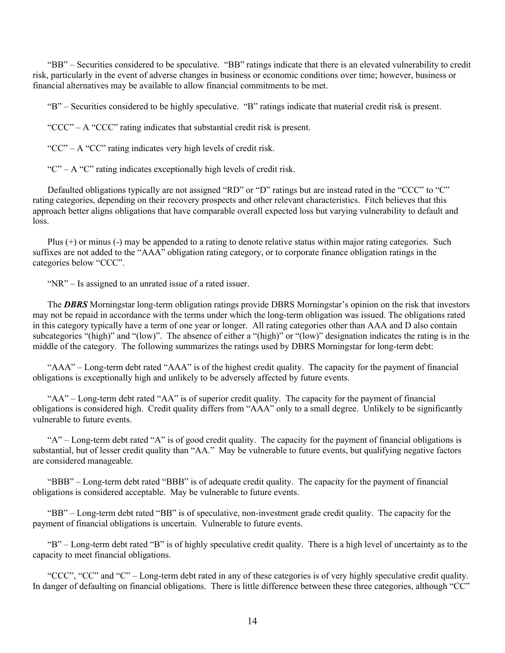"BB" – Securities considered to be speculative. "BB" ratings indicate that there is an elevated vulnerability to credit risk, particularly in the event of adverse changes in business or economic conditions over time; however, business or financial alternatives may be available to allow financial commitments to be met.

"B" – Securities considered to be highly speculative. "B" ratings indicate that material credit risk is present.

"CCC" – A "CCC" rating indicates that substantial credit risk is present.

"CC" – A "CC" rating indicates very high levels of credit risk.

" $C$ " – A " $C$ " rating indicates exceptionally high levels of credit risk.

Defaulted obligations typically are not assigned "RD" or "D" ratings but are instead rated in the "CCC" to "C" rating categories, depending on their recovery prospects and other relevant characteristics. Fitch believes that this approach better aligns obligations that have comparable overall expected loss but varying vulnerability to default and loss.

Plus (+) or minus (-) may be appended to a rating to denote relative status within major rating categories. Such suffixes are not added to the "AAA" obligation rating category, or to corporate finance obligation ratings in the categories below "CCC".

"NR" – Is assigned to an unrated issue of a rated issuer.

The *DBRS* Morningstar long-term obligation ratings provide DBRS Morningstar's opinion on the risk that investors may not be repaid in accordance with the terms under which the long-term obligation was issued. The obligations rated in this category typically have a term of one year or longer. All rating categories other than AAA and D also contain subcategories "(high)" and "(low)". The absence of either a "(high)" or "(low)" designation indicates the rating is in the middle of the category. The following summarizes the ratings used by DBRS Morningstar for long-term debt:

"AAA" – Long-term debt rated "AAA" is of the highest credit quality. The capacity for the payment of financial obligations is exceptionally high and unlikely to be adversely affected by future events.

"AA" – Long-term debt rated "AA" is of superior credit quality. The capacity for the payment of financial obligations is considered high. Credit quality differs from "AAA" only to a small degree. Unlikely to be significantly vulnerable to future events.

"A" – Long-term debt rated "A" is of good credit quality. The capacity for the payment of financial obligations is substantial, but of lesser credit quality than "AA." May be vulnerable to future events, but qualifying negative factors are considered manageable.

"BBB" – Long-term debt rated "BBB" is of adequate credit quality. The capacity for the payment of financial obligations is considered acceptable. May be vulnerable to future events.

"BB" – Long-term debt rated "BB" is of speculative, non-investment grade credit quality. The capacity for the payment of financial obligations is uncertain. Vulnerable to future events.

"B" – Long-term debt rated "B" is of highly speculative credit quality. There is a high level of uncertainty as to the capacity to meet financial obligations.

"CCC", "CC" and "C" – Long-term debt rated in any of these categories is of very highly speculative credit quality. In danger of defaulting on financial obligations. There is little difference between these three categories, although "CC"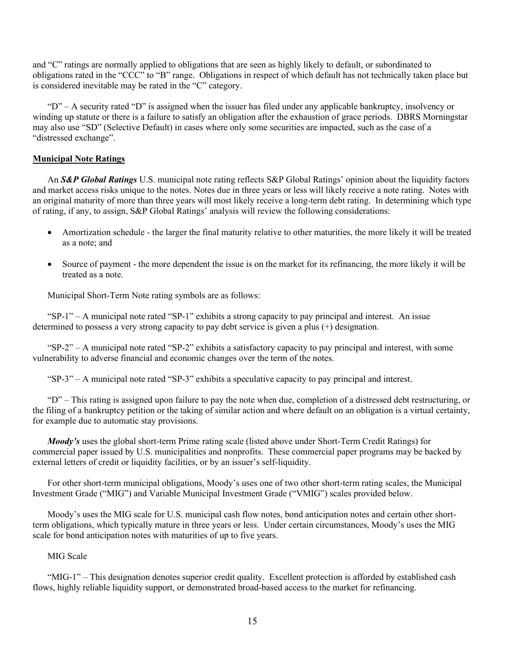and "C" ratings are normally applied to obligations that are seen as highly likely to default, or subordinated to obligations rated in the "CCC" to "B" range. Obligations in respect of which default has not technically taken place but is considered inevitable may be rated in the "C" category.

"D" – A security rated "D" is assigned when the issuer has filed under any applicable bankruptcy, insolvency or winding up statute or there is a failure to satisfy an obligation after the exhaustion of grace periods. DBRS Morningstar may also use "SD" (Selective Default) in cases where only some securities are impacted, such as the case of a "distressed exchange".

# **Municipal Note Ratings**

An *S&P Global Ratings* U.S. municipal note rating reflects S&P Global Ratings' opinion about the liquidity factors and market access risks unique to the notes. Notes due in three years or less will likely receive a note rating. Notes with an original maturity of more than three years will most likely receive a long-term debt rating. In determining which type of rating, if any, to assign, S&P Global Ratings' analysis will review the following considerations:

- Amortization schedule the larger the final maturity relative to other maturities, the more likely it will be treated as a note; and
- Source of payment the more dependent the issue is on the market for its refinancing, the more likely it will be treated as a note.

Municipal Short-Term Note rating symbols are as follows:

"SP-1" – A municipal note rated "SP-1" exhibits a strong capacity to pay principal and interest. An issue determined to possess a very strong capacity to pay debt service is given a plus (+) designation.

"SP-2" – A municipal note rated "SP-2" exhibits a satisfactory capacity to pay principal and interest, with some vulnerability to adverse financial and economic changes over the term of the notes.

"SP-3" – A municipal note rated "SP-3" exhibits a speculative capacity to pay principal and interest.

"D" – This rating is assigned upon failure to pay the note when due, completion of a distressed debt restructuring, or the filing of a bankruptcy petition or the taking of similar action and where default on an obligation is a virtual certainty, for example due to automatic stay provisions.

*Moody's* uses the global short-term Prime rating scale (listed above under Short-Term Credit Ratings) for commercial paper issued by U.S. municipalities and nonprofits. These commercial paper programs may be backed by external letters of credit or liquidity facilities, or by an issuer's self-liquidity.

For other short-term municipal obligations, Moody's uses one of two other short-term rating scales, the Municipal Investment Grade ("MIG") and Variable Municipal Investment Grade ("VMIG") scales provided below.

Moody's uses the MIG scale for U.S. municipal cash flow notes, bond anticipation notes and certain other shortterm obligations, which typically mature in three years or less. Under certain circumstances, Moody's uses the MIG scale for bond anticipation notes with maturities of up to five years.

## MIG Scale

"MIG-1" – This designation denotes superior credit quality. Excellent protection is afforded by established cash flows, highly reliable liquidity support, or demonstrated broad-based access to the market for refinancing.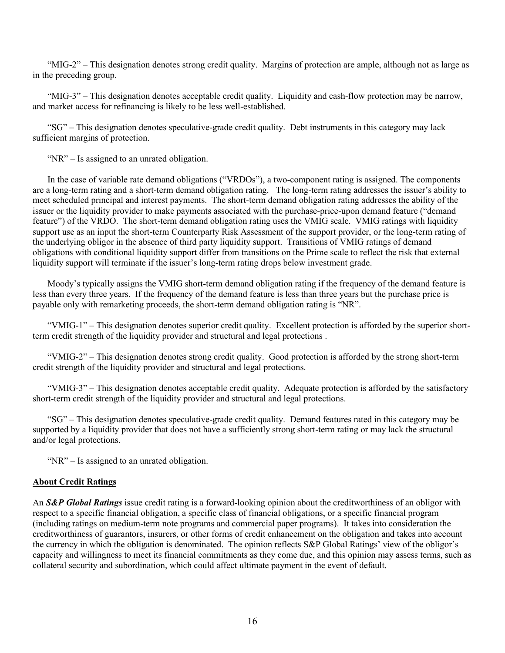"MIG-2" – This designation denotes strong credit quality. Margins of protection are ample, although not as large as in the preceding group.

"MIG-3" – This designation denotes acceptable credit quality. Liquidity and cash-flow protection may be narrow, and market access for refinancing is likely to be less well-established.

"SG" – This designation denotes speculative-grade credit quality. Debt instruments in this category may lack sufficient margins of protection.

"NR" – Is assigned to an unrated obligation.

In the case of variable rate demand obligations ("VRDOs"), a two-component rating is assigned. The components are a long-term rating and a short-term demand obligation rating. The long-term rating addresses the issuer's ability to meet scheduled principal and interest payments. The short-term demand obligation rating addresses the ability of the issuer or the liquidity provider to make payments associated with the purchase-price-upon demand feature ("demand feature") of the VRDO. The short-term demand obligation rating uses the VMIG scale. VMIG ratings with liquidity support use as an input the short-term Counterparty Risk Assessment of the support provider, or the long-term rating of the underlying obligor in the absence of third party liquidity support. Transitions of VMIG ratings of demand obligations with conditional liquidity support differ from transitions on the Prime scale to reflect the risk that external liquidity support will terminate if the issuer's long-term rating drops below investment grade.

Moody's typically assigns the VMIG short-term demand obligation rating if the frequency of the demand feature is less than every three years. If the frequency of the demand feature is less than three years but the purchase price is payable only with remarketing proceeds, the short-term demand obligation rating is "NR".

"VMIG-1" – This designation denotes superior credit quality. Excellent protection is afforded by the superior shortterm credit strength of the liquidity provider and structural and legal protections .

"VMIG-2" – This designation denotes strong credit quality. Good protection is afforded by the strong short-term credit strength of the liquidity provider and structural and legal protections.

"VMIG-3" – This designation denotes acceptable credit quality. Adequate protection is afforded by the satisfactory short-term credit strength of the liquidity provider and structural and legal protections.

"SG" – This designation denotes speculative-grade credit quality. Demand features rated in this category may be supported by a liquidity provider that does not have a sufficiently strong short-term rating or may lack the structural and/or legal protections.

"NR" – Is assigned to an unrated obligation.

## **About Credit Ratings**

An *S&P Global Ratings* issue credit rating is a forward-looking opinion about the creditworthiness of an obligor with respect to a specific financial obligation, a specific class of financial obligations, or a specific financial program (including ratings on medium-term note programs and commercial paper programs). It takes into consideration the creditworthiness of guarantors, insurers, or other forms of credit enhancement on the obligation and takes into account the currency in which the obligation is denominated. The opinion reflects S&P Global Ratings' view of the obligor's capacity and willingness to meet its financial commitments as they come due, and this opinion may assess terms, such as collateral security and subordination, which could affect ultimate payment in the event of default.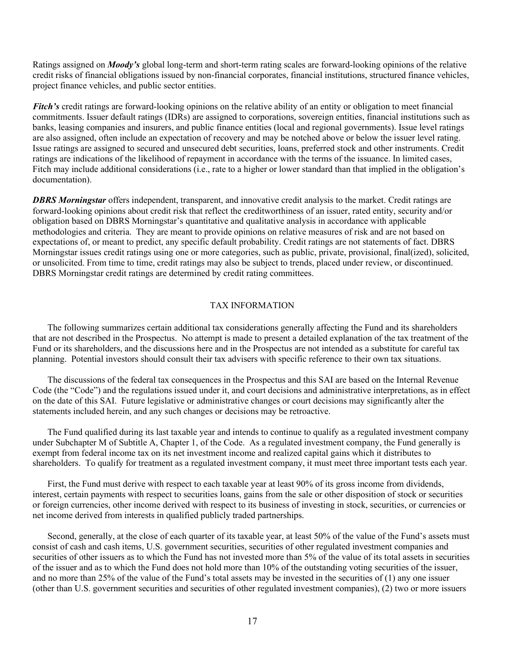Ratings assigned on *Moody's* global long-term and short-term rating scales are forward-looking opinions of the relative credit risks of financial obligations issued by non-financial corporates, financial institutions, structured finance vehicles, project finance vehicles, and public sector entities.

*Fitch's* credit ratings are forward-looking opinions on the relative ability of an entity or obligation to meet financial commitments. Issuer default ratings (IDRs) are assigned to corporations, sovereign entities, financial institutions such as banks, leasing companies and insurers, and public finance entities (local and regional governments). Issue level ratings are also assigned, often include an expectation of recovery and may be notched above or below the issuer level rating. Issue ratings are assigned to secured and unsecured debt securities, loans, preferred stock and other instruments. Credit ratings are indications of the likelihood of repayment in accordance with the terms of the issuance. In limited cases, Fitch may include additional considerations (i.e., rate to a higher or lower standard than that implied in the obligation's documentation).

*DBRS Morningstar* offers independent, transparent, and innovative credit analysis to the market. Credit ratings are forward-looking opinions about credit risk that reflect the creditworthiness of an issuer, rated entity, security and/or obligation based on DBRS Morningstar's quantitative and qualitative analysis in accordance with applicable methodologies and criteria. They are meant to provide opinions on relative measures of risk and are not based on expectations of, or meant to predict, any specific default probability. Credit ratings are not statements of fact. DBRS Morningstar issues credit ratings using one or more categories, such as public, private, provisional, final(ized), solicited, or unsolicited. From time to time, credit ratings may also be subject to trends, placed under review, or discontinued. DBRS Morningstar credit ratings are determined by credit rating committees.

## TAX INFORMATION

The following summarizes certain additional tax considerations generally affecting the Fund and its shareholders that are not described in the Prospectus. No attempt is made to present a detailed explanation of the tax treatment of the Fund or its shareholders, and the discussions here and in the Prospectus are not intended as a substitute for careful tax planning. Potential investors should consult their tax advisers with specific reference to their own tax situations.

The discussions of the federal tax consequences in the Prospectus and this SAI are based on the Internal Revenue Code (the "Code") and the regulations issued under it, and court decisions and administrative interpretations, as in effect on the date of this SAI. Future legislative or administrative changes or court decisions may significantly alter the statements included herein, and any such changes or decisions may be retroactive.

The Fund qualified during its last taxable year and intends to continue to qualify as a regulated investment company under Subchapter M of Subtitle A, Chapter 1, of the Code. As a regulated investment company, the Fund generally is exempt from federal income tax on its net investment income and realized capital gains which it distributes to shareholders. To qualify for treatment as a regulated investment company, it must meet three important tests each year.

First, the Fund must derive with respect to each taxable year at least 90% of its gross income from dividends, interest, certain payments with respect to securities loans, gains from the sale or other disposition of stock or securities or foreign currencies, other income derived with respect to its business of investing in stock, securities, or currencies or net income derived from interests in qualified publicly traded partnerships.

Second, generally, at the close of each quarter of its taxable year, at least 50% of the value of the Fund's assets must consist of cash and cash items, U.S. government securities, securities of other regulated investment companies and securities of other issuers as to which the Fund has not invested more than 5% of the value of its total assets in securities of the issuer and as to which the Fund does not hold more than 10% of the outstanding voting securities of the issuer, and no more than 25% of the value of the Fund's total assets may be invested in the securities of (1) any one issuer (other than U.S. government securities and securities of other regulated investment companies), (2) two or more issuers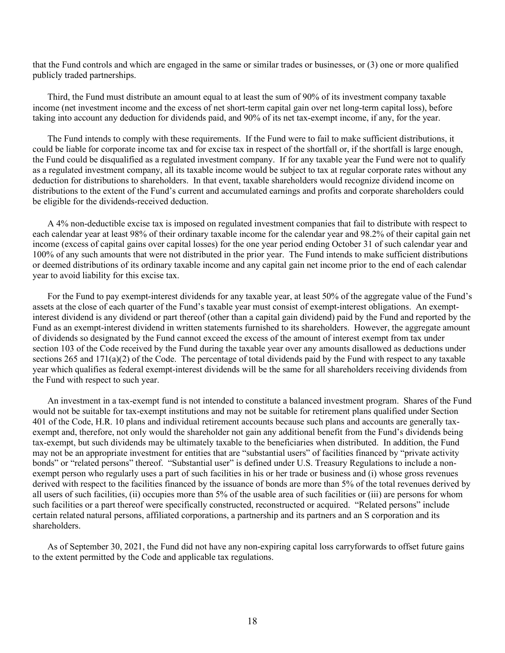that the Fund controls and which are engaged in the same or similar trades or businesses, or (3) one or more qualified publicly traded partnerships.

Third, the Fund must distribute an amount equal to at least the sum of 90% of its investment company taxable income (net investment income and the excess of net short-term capital gain over net long-term capital loss), before taking into account any deduction for dividends paid, and 90% of its net tax-exempt income, if any, for the year.

The Fund intends to comply with these requirements. If the Fund were to fail to make sufficient distributions, it could be liable for corporate income tax and for excise tax in respect of the shortfall or, if the shortfall is large enough, the Fund could be disqualified as a regulated investment company. If for any taxable year the Fund were not to qualify as a regulated investment company, all its taxable income would be subject to tax at regular corporate rates without any deduction for distributions to shareholders. In that event, taxable shareholders would recognize dividend income on distributions to the extent of the Fund's current and accumulated earnings and profits and corporate shareholders could be eligible for the dividends-received deduction.

A 4% non-deductible excise tax is imposed on regulated investment companies that fail to distribute with respect to each calendar year at least 98% of their ordinary taxable income for the calendar year and 98.2% of their capital gain net income (excess of capital gains over capital losses) for the one year period ending October 31 of such calendar year and 100% of any such amounts that were not distributed in the prior year. The Fund intends to make sufficient distributions or deemed distributions of its ordinary taxable income and any capital gain net income prior to the end of each calendar year to avoid liability for this excise tax.

For the Fund to pay exempt-interest dividends for any taxable year, at least 50% of the aggregate value of the Fund's assets at the close of each quarter of the Fund's taxable year must consist of exempt-interest obligations. An exemptinterest dividend is any dividend or part thereof (other than a capital gain dividend) paid by the Fund and reported by the Fund as an exempt-interest dividend in written statements furnished to its shareholders. However, the aggregate amount of dividends so designated by the Fund cannot exceed the excess of the amount of interest exempt from tax under section 103 of the Code received by the Fund during the taxable year over any amounts disallowed as deductions under sections 265 and 171(a)(2) of the Code. The percentage of total dividends paid by the Fund with respect to any taxable year which qualifies as federal exempt-interest dividends will be the same for all shareholders receiving dividends from the Fund with respect to such year.

An investment in a tax-exempt fund is not intended to constitute a balanced investment program. Shares of the Fund would not be suitable for tax-exempt institutions and may not be suitable for retirement plans qualified under Section 401 of the Code, H.R. 10 plans and individual retirement accounts because such plans and accounts are generally taxexempt and, therefore, not only would the shareholder not gain any additional benefit from the Fund's dividends being tax-exempt, but such dividends may be ultimately taxable to the beneficiaries when distributed. In addition, the Fund may not be an appropriate investment for entities that are "substantial users" of facilities financed by "private activity bonds" or "related persons" thereof. "Substantial user" is defined under U.S. Treasury Regulations to include a nonexempt person who regularly uses a part of such facilities in his or her trade or business and (i) whose gross revenues derived with respect to the facilities financed by the issuance of bonds are more than 5% of the total revenues derived by all users of such facilities, (ii) occupies more than 5% of the usable area of such facilities or (iii) are persons for whom such facilities or a part thereof were specifically constructed, reconstructed or acquired. "Related persons" include certain related natural persons, affiliated corporations, a partnership and its partners and an S corporation and its shareholders.

As of September 30, 2021, the Fund did not have any non-expiring capital loss carryforwards to offset future gains to the extent permitted by the Code and applicable tax regulations.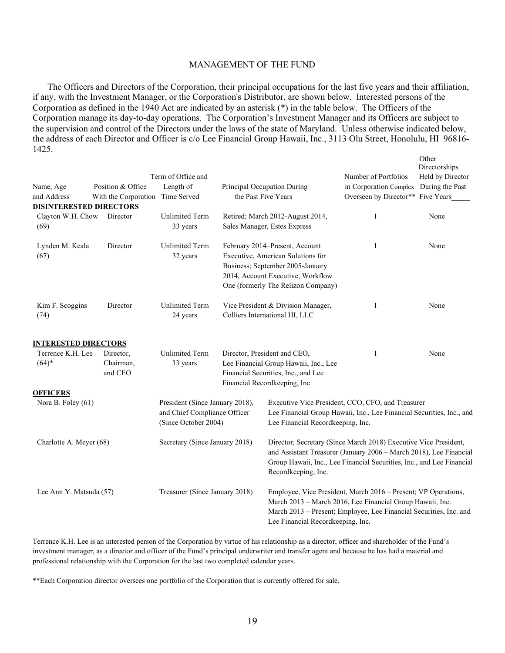#### MANAGEMENT OF THE FUND

The Officers and Directors of the Corporation, their principal occupations for the last five years and their affiliation, if any, with the Investment Manager, or the Corporation's Distributor, are shown below. Interested persons of the Corporation as defined in the 1940 Act are indicated by an asterisk (\*) in the table below. The Officers of the Corporation manage its day-to-day operations. The Corporation's Investment Manager and its Officers are subject to the supervision and control of the Directors under the laws of the state of Maryland. Unless otherwise indicated below, the address of each Director and Officer is c/o Lee Financial Group Hawaii, Inc., 3113 Olu Street, Honolulu, HI 96816- 1425.

|                                       | Position & Office                 | Term of Office and                                                                      |                                                                                                                                                                                    | Number of Portfolios                                                                                                                                                                                            | Other<br>Directorships<br>Held by Director |
|---------------------------------------|-----------------------------------|-----------------------------------------------------------------------------------------|------------------------------------------------------------------------------------------------------------------------------------------------------------------------------------|-----------------------------------------------------------------------------------------------------------------------------------------------------------------------------------------------------------------|--------------------------------------------|
| Name, Age<br>and Address              | With the Corporation              | Length of<br>Time Served                                                                | Principal Occupation During<br>the Past Five Years                                                                                                                                 | in Corporation Complex<br>Overseen by Director** Five Years                                                                                                                                                     | During the Past                            |
| <b>DISINTERESTED DIRECTORS</b>        |                                   |                                                                                         |                                                                                                                                                                                    |                                                                                                                                                                                                                 |                                            |
| Clayton W.H. Chow<br>(69)             | Director                          | <b>Unlimited Term</b><br>33 years                                                       | Retired; March 2012-August 2014,<br>Sales Manager, Estes Express                                                                                                                   | $\mathbf{1}$                                                                                                                                                                                                    | None                                       |
| Lynden M. Keala<br>(67)               | Director                          | <b>Unlimited Term</b><br>32 years                                                       | February 2014-Present, Account<br>Executive, American Solutions for<br>Business; September 2005-January<br>2014, Account Executive, Workflow<br>One (formerly The Relizon Company) | 1                                                                                                                                                                                                               | None                                       |
| Kim F. Scoggins<br>(74)               | Director                          | <b>Unlimited Term</b><br>24 years                                                       | Vice President & Division Manager,<br>Colliers International HI, LLC                                                                                                               | 1                                                                                                                                                                                                               | None                                       |
| <b>INTERESTED DIRECTORS</b>           |                                   |                                                                                         |                                                                                                                                                                                    |                                                                                                                                                                                                                 |                                            |
| Terrence K.H. Lee<br>$(64)*$          | Director,<br>Chairman,<br>and CEO | <b>Unlimited Term</b><br>33 years                                                       | Director, President and CEO,<br>Lee Financial Group Hawaii, Inc., Lee<br>Financial Securities, Inc., and Lee<br>Financial Recordkeeping, Inc.                                      | 1                                                                                                                                                                                                               | None                                       |
| <b>OFFICERS</b><br>Nora B. Foley (61) |                                   | President (Since January 2018),<br>and Chief Compliance Officer<br>(Since October 2004) | Lee Financial Recordkeeping, Inc.                                                                                                                                                  | Executive Vice President, CCO, CFO, and Treasurer<br>Lee Financial Group Hawaii, Inc., Lee Financial Securities, Inc., and                                                                                      |                                            |
| Charlotte A. Meyer (68)               |                                   | Secretary (Since January 2018)                                                          | Recordkeeping, Inc.                                                                                                                                                                | Director, Secretary (Since March 2018) Executive Vice President,<br>and Assistant Treasurer (January 2006 - March 2018), Lee Financial<br>Group Hawaii, Inc., Lee Financial Securities, Inc., and Lee Financial |                                            |
| Lee Ann Y. Matsuda (57)               |                                   | Treasurer (Since January 2018)                                                          | Lee Financial Recordkeeping, Inc.                                                                                                                                                  | Employee, Vice President, March 2016 - Present; VP Operations,<br>March 2013 - March 2016, Lee Financial Group Hawaii, Inc.<br>March 2013 - Present; Employee, Lee Financial Securities, Inc. and               |                                            |

Terrence K.H. Lee is an interested person of the Corporation by virtue of his relationship as a director, officer and shareholder of the Fund's investment manager, as a director and officer of the Fund's principal underwriter and transfer agent and because he has had a material and professional relationship with the Corporation for the last two completed calendar years.

\*\*Each Corporation director oversees one portfolio of the Corporation that is currently offered for sale.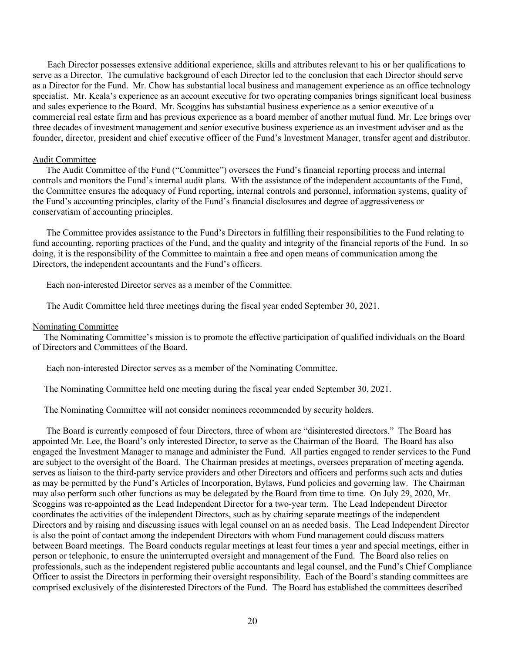Each Director possesses extensive additional experience, skills and attributes relevant to his or her qualifications to serve as a Director. The cumulative background of each Director led to the conclusion that each Director should serve as a Director for the Fund. Mr. Chow has substantial local business and management experience as an office technology specialist. Mr. Keala's experience as an account executive for two operating companies brings significant local business and sales experience to the Board. Mr. Scoggins has substantial business experience as a senior executive of a commercial real estate firm and has previous experience as a board member of another mutual fund. Mr. Lee brings over three decades of investment management and senior executive business experience as an investment adviser and as the founder, director, president and chief executive officer of the Fund's Investment Manager, transfer agent and distributor.

#### Audit Committee

 The Audit Committee of the Fund ("Committee") oversees the Fund's financial reporting process and internal controls and monitors the Fund's internal audit plans. With the assistance of the independent accountants of the Fund, the Committee ensures the adequacy of Fund reporting, internal controls and personnel, information systems, quality of the Fund's accounting principles, clarity of the Fund's financial disclosures and degree of aggressiveness or conservatism of accounting principles.

 The Committee provides assistance to the Fund's Directors in fulfilling their responsibilities to the Fund relating to fund accounting, reporting practices of the Fund, and the quality and integrity of the financial reports of the Fund. In so doing, it is the responsibility of the Committee to maintain a free and open means of communication among the Directors, the independent accountants and the Fund's officers.

Each non-interested Director serves as a member of the Committee.

The Audit Committee held three meetings during the fiscal year ended September 30, 2021.

#### Nominating Committee

 The Nominating Committee's mission is to promote the effective participation of qualified individuals on the Board of Directors and Committees of the Board.

Each non-interested Director serves as a member of the Nominating Committee.

The Nominating Committee held one meeting during the fiscal year ended September 30, 2021.

The Nominating Committee will not consider nominees recommended by security holders.

 The Board is currently composed of four Directors, three of whom are "disinterested directors." The Board has appointed Mr. Lee, the Board's only interested Director, to serve as the Chairman of the Board. The Board has also engaged the Investment Manager to manage and administer the Fund. All parties engaged to render services to the Fund are subject to the oversight of the Board. The Chairman presides at meetings, oversees preparation of meeting agenda, serves as liaison to the third-party service providers and other Directors and officers and performs such acts and duties as may be permitted by the Fund's Articles of Incorporation, Bylaws, Fund policies and governing law. The Chairman may also perform such other functions as may be delegated by the Board from time to time. On July 29, 2020, Mr. Scoggins was re-appointed as the Lead Independent Director for a two-year term. The Lead Independent Director coordinates the activities of the independent Directors, such as by chairing separate meetings of the independent Directors and by raising and discussing issues with legal counsel on an as needed basis. The Lead Independent Director is also the point of contact among the independent Directors with whom Fund management could discuss matters between Board meetings. The Board conducts regular meetings at least four times a year and special meetings, either in person or telephonic, to ensure the uninterrupted oversight and management of the Fund. The Board also relies on professionals, such as the independent registered public accountants and legal counsel, and the Fund's Chief Compliance Officer to assist the Directors in performing their oversight responsibility. Each of the Board's standing committees are comprised exclusively of the disinterested Directors of the Fund. The Board has established the committees described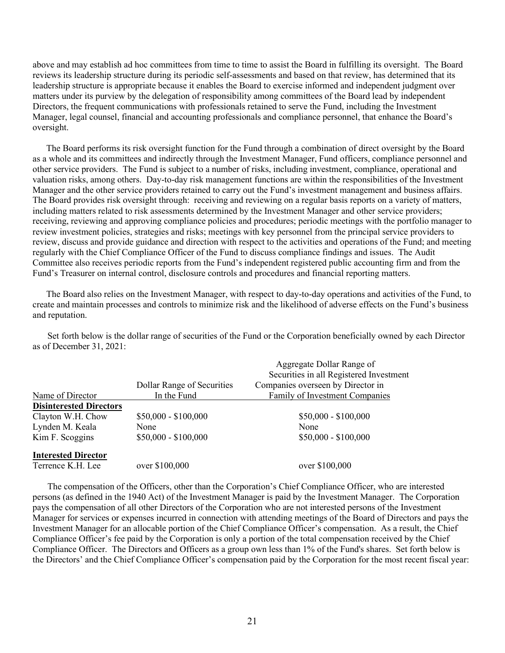above and may establish ad hoc committees from time to time to assist the Board in fulfilling its oversight. The Board reviews its leadership structure during its periodic self-assessments and based on that review, has determined that its leadership structure is appropriate because it enables the Board to exercise informed and independent judgment over matters under its purview by the delegation of responsibility among committees of the Board lead by independent Directors, the frequent communications with professionals retained to serve the Fund, including the Investment Manager, legal counsel, financial and accounting professionals and compliance personnel, that enhance the Board's oversight.

 The Board performs its risk oversight function for the Fund through a combination of direct oversight by the Board as a whole and its committees and indirectly through the Investment Manager, Fund officers, compliance personnel and other service providers. The Fund is subject to a number of risks, including investment, compliance, operational and valuation risks, among others. Day-to-day risk management functions are within the responsibilities of the Investment Manager and the other service providers retained to carry out the Fund's investment management and business affairs. The Board provides risk oversight through: receiving and reviewing on a regular basis reports on a variety of matters, including matters related to risk assessments determined by the Investment Manager and other service providers; receiving, reviewing and approving compliance policies and procedures; periodic meetings with the portfolio manager to review investment policies, strategies and risks; meetings with key personnel from the principal service providers to review, discuss and provide guidance and direction with respect to the activities and operations of the Fund; and meeting regularly with the Chief Compliance Officer of the Fund to discuss compliance findings and issues. The Audit Committee also receives periodic reports from the Fund's independent registered public accounting firm and from the Fund's Treasurer on internal control, disclosure controls and procedures and financial reporting matters.

 The Board also relies on the Investment Manager, with respect to day-to-day operations and activities of the Fund, to create and maintain processes and controls to minimize risk and the likelihood of adverse effects on the Fund's business and reputation.

Set forth below is the dollar range of securities of the Fund or the Corporation beneficially owned by each Director as of December 31, 2021:

|                                |                            | Aggregate Dollar Range of               |
|--------------------------------|----------------------------|-----------------------------------------|
|                                |                            | Securities in all Registered Investment |
|                                | Dollar Range of Securities | Companies overseen by Director in       |
| Name of Director               | In the Fund                | Family of Investment Companies          |
| <b>Disinterested Directors</b> |                            |                                         |
| Clayton W.H. Chow              | $$50,000 - $100,000$       | $$50,000 - $100,000$                    |
| Lynden M. Keala                | None                       | None                                    |
| Kim F. Scoggins                | $$50,000 - $100,000$       | $$50,000 - $100,000$                    |
| <b>Interested Director</b>     |                            |                                         |
| Terrence K.H. Lee              | over \$100,000             | over \$100,000                          |

The compensation of the Officers, other than the Corporation's Chief Compliance Officer, who are interested persons (as defined in the 1940 Act) of the Investment Manager is paid by the Investment Manager. The Corporation pays the compensation of all other Directors of the Corporation who are not interested persons of the Investment Manager for services or expenses incurred in connection with attending meetings of the Board of Directors and pays the Investment Manager for an allocable portion of the Chief Compliance Officer's compensation. As a result, the Chief Compliance Officer's fee paid by the Corporation is only a portion of the total compensation received by the Chief Compliance Officer. The Directors and Officers as a group own less than 1% of the Fund's shares. Set forth below is the Directors' and the Chief Compliance Officer's compensation paid by the Corporation for the most recent fiscal year: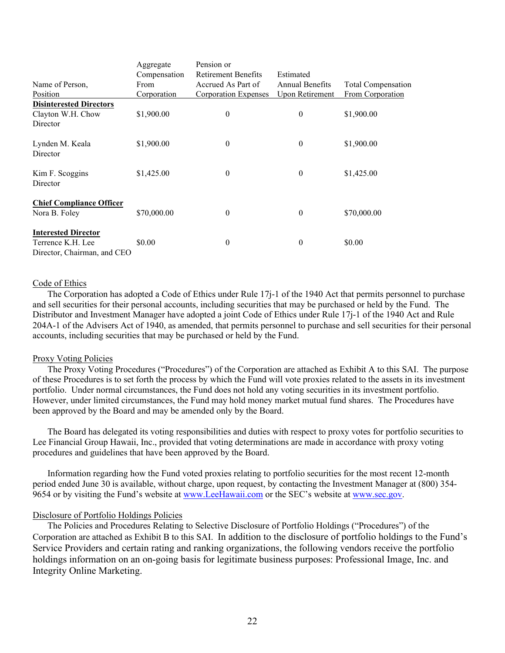|                                 | Aggregate    | Pension or                  |                        |                           |
|---------------------------------|--------------|-----------------------------|------------------------|---------------------------|
|                                 | Compensation | <b>Retirement Benefits</b>  | Estimated              |                           |
| Name of Person,                 | From         | Accrued As Part of          | <b>Annual Benefits</b> | <b>Total Compensation</b> |
| Position                        | Corporation  | <b>Corporation Expenses</b> | <b>Upon Retirement</b> | From Corporation          |
| <b>Disinterested Directors</b>  |              |                             |                        |                           |
| Clayton W.H. Chow               | \$1,900.00   | $\mathbf{0}$                | $\theta$               | \$1,900.00                |
| Director                        |              |                             |                        |                           |
| Lynden M. Keala<br>Director     | \$1,900.00   | $\boldsymbol{0}$            | $\theta$               | \$1,900.00                |
| Kim F. Scoggins<br>Director     | \$1,425.00   | $\theta$                    | $\theta$               | \$1,425.00                |
| <b>Chief Compliance Officer</b> |              |                             |                        |                           |
| Nora B. Foley                   | \$70,000.00  | $\theta$                    | $\theta$               | \$70,000.00               |
| <b>Interested Director</b>      |              |                             |                        |                           |
| Terrence K.H. Lee               | \$0.00       | $\theta$                    | $\theta$               | \$0.00                    |
| Director, Chairman, and CEO     |              |                             |                        |                           |

#### Code of Ethics

The Corporation has adopted a Code of Ethics under Rule 17j-1 of the 1940 Act that permits personnel to purchase and sell securities for their personal accounts, including securities that may be purchased or held by the Fund. The Distributor and Investment Manager have adopted a joint Code of Ethics under Rule 17j-1 of the 1940 Act and Rule 204A-1 of the Advisers Act of 1940, as amended, that permits personnel to purchase and sell securities for their personal accounts, including securities that may be purchased or held by the Fund.

#### Proxy Voting Policies

The Proxy Voting Procedures ("Procedures") of the Corporation are attached as Exhibit A to this SAI. The purpose of these Procedures is to set forth the process by which the Fund will vote proxies related to the assets in its investment portfolio. Under normal circumstances, the Fund does not hold any voting securities in its investment portfolio. However, under limited circumstances, the Fund may hold money market mutual fund shares. The Procedures have been approved by the Board and may be amended only by the Board.

The Board has delegated its voting responsibilities and duties with respect to proxy votes for portfolio securities to Lee Financial Group Hawaii, Inc., provided that voting determinations are made in accordance with proxy voting procedures and guidelines that have been approved by the Board.

Information regarding how the Fund voted proxies relating to portfolio securities for the most recent 12-month period ended June 30 is available, without charge, upon request, by contacting the Investment Manager at (800) 354 9654 or by visiting the Fund's website at [www.LeeHawaii.com](http://www.leehawaii.com/) or the SEC's website at [www.sec.gov.](http://www.sec.gov/)

## Disclosure of Portfolio Holdings Policies

The Policies and Procedures Relating to Selective Disclosure of Portfolio Holdings ("Procedures") of the Corporation are attached as Exhibit B to this SAI. In addition to the disclosure of portfolio holdings to the Fund's Service Providers and certain rating and ranking organizations, the following vendors receive the portfolio holdings information on an on-going basis for legitimate business purposes: Professional Image, Inc. and Integrity Online Marketing.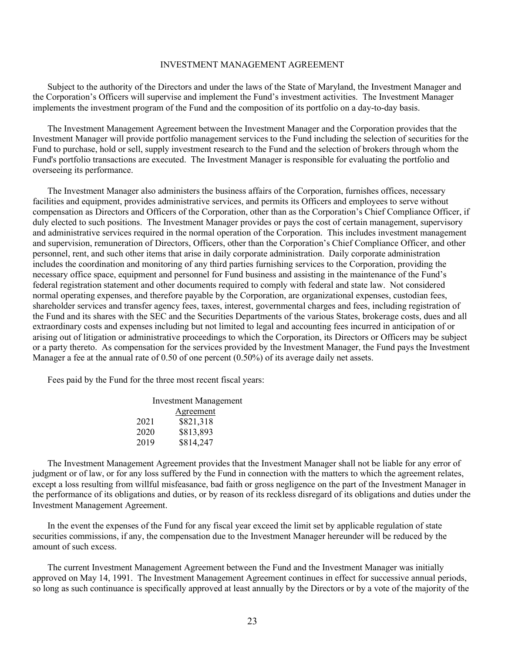#### INVESTMENT MANAGEMENT AGREEMENT

Subject to the authority of the Directors and under the laws of the State of Maryland, the Investment Manager and the Corporation's Officers will supervise and implement the Fund's investment activities. The Investment Manager implements the investment program of the Fund and the composition of its portfolio on a day-to-day basis.

The Investment Management Agreement between the Investment Manager and the Corporation provides that the Investment Manager will provide portfolio management services to the Fund including the selection of securities for the Fund to purchase, hold or sell, supply investment research to the Fund and the selection of brokers through whom the Fund's portfolio transactions are executed. The Investment Manager is responsible for evaluating the portfolio and overseeing its performance.

The Investment Manager also administers the business affairs of the Corporation, furnishes offices, necessary facilities and equipment, provides administrative services, and permits its Officers and employees to serve without compensation as Directors and Officers of the Corporation, other than as the Corporation's Chief Compliance Officer, if duly elected to such positions. The Investment Manager provides or pays the cost of certain management, supervisory and administrative services required in the normal operation of the Corporation. This includes investment management and supervision, remuneration of Directors, Officers, other than the Corporation's Chief Compliance Officer, and other personnel, rent, and such other items that arise in daily corporate administration. Daily corporate administration includes the coordination and monitoring of any third parties furnishing services to the Corporation, providing the necessary office space, equipment and personnel for Fund business and assisting in the maintenance of the Fund's federal registration statement and other documents required to comply with federal and state law. Not considered normal operating expenses, and therefore payable by the Corporation, are organizational expenses, custodian fees, shareholder services and transfer agency fees, taxes, interest, governmental charges and fees, including registration of the Fund and its shares with the SEC and the Securities Departments of the various States, brokerage costs, dues and all extraordinary costs and expenses including but not limited to legal and accounting fees incurred in anticipation of or arising out of litigation or administrative proceedings to which the Corporation, its Directors or Officers may be subject or a party thereto. As compensation for the services provided by the Investment Manager, the Fund pays the Investment Manager a fee at the annual rate of 0.50 of one percent (0.50%) of its average daily net assets.

Fees paid by the Fund for the three most recent fiscal years:

| Investment Management |           |  |
|-----------------------|-----------|--|
|                       | Agreement |  |
| 2021                  | \$821,318 |  |
| 2020                  | \$813,893 |  |
| 2019                  | \$814,247 |  |

The Investment Management Agreement provides that the Investment Manager shall not be liable for any error of judgment or of law, or for any loss suffered by the Fund in connection with the matters to which the agreement relates, except a loss resulting from willful misfeasance, bad faith or gross negligence on the part of the Investment Manager in the performance of its obligations and duties, or by reason of its reckless disregard of its obligations and duties under the Investment Management Agreement.

In the event the expenses of the Fund for any fiscal year exceed the limit set by applicable regulation of state securities commissions, if any, the compensation due to the Investment Manager hereunder will be reduced by the amount of such excess.

The current Investment Management Agreement between the Fund and the Investment Manager was initially approved on May 14, 1991. The Investment Management Agreement continues in effect for successive annual periods, so long as such continuance is specifically approved at least annually by the Directors or by a vote of the majority of the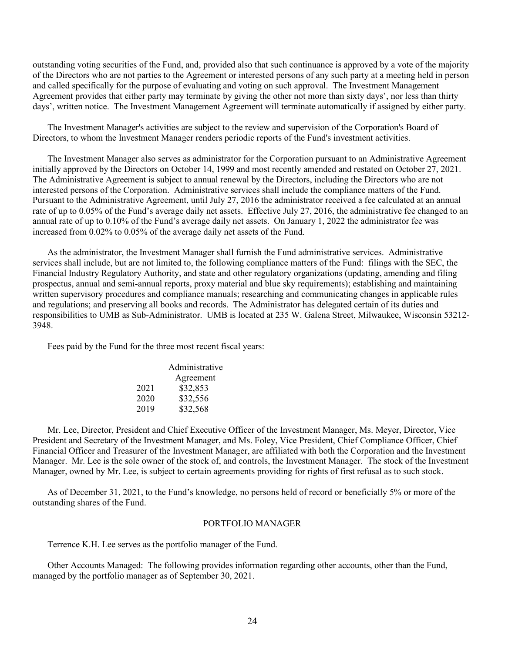outstanding voting securities of the Fund, and, provided also that such continuance is approved by a vote of the majority of the Directors who are not parties to the Agreement or interested persons of any such party at a meeting held in person and called specifically for the purpose of evaluating and voting on such approval. The Investment Management Agreement provides that either party may terminate by giving the other not more than sixty days', nor less than thirty days', written notice. The Investment Management Agreement will terminate automatically if assigned by either party.

The Investment Manager's activities are subject to the review and supervision of the Corporation's Board of Directors, to whom the Investment Manager renders periodic reports of the Fund's investment activities.

The Investment Manager also serves as administrator for the Corporation pursuant to an Administrative Agreement initially approved by the Directors on October 14, 1999 and most recently amended and restated on October 27, 2021. The Administrative Agreement is subject to annual renewal by the Directors, including the Directors who are not interested persons of the Corporation. Administrative services shall include the compliance matters of the Fund. Pursuant to the Administrative Agreement, until July 27, 2016 the administrator received a fee calculated at an annual rate of up to 0.05% of the Fund's average daily net assets. Effective July 27, 2016, the administrative fee changed to an annual rate of up to 0.10% of the Fund's average daily net assets. On January 1, 2022 the administrator fee was increased from 0.02% to 0.05% of the average daily net assets of the Fund.

As the administrator, the Investment Manager shall furnish the Fund administrative services. Administrative services shall include, but are not limited to, the following compliance matters of the Fund: filings with the SEC, the Financial Industry Regulatory Authority, and state and other regulatory organizations (updating, amending and filing prospectus, annual and semi-annual reports, proxy material and blue sky requirements); establishing and maintaining written supervisory procedures and compliance manuals; researching and communicating changes in applicable rules and regulations; and preserving all books and records. The Administrator has delegated certain of its duties and responsibilities to UMB as Sub-Administrator. UMB is located at 235 W. Galena Street, Milwaukee, Wisconsin 53212- 3948.

Fees paid by the Fund for the three most recent fiscal years:

|      | Administrative |
|------|----------------|
|      | Agreement      |
| 2021 | \$32,853       |
| 2020 | \$32,556       |
| 2019 | \$32,568       |

Mr. Lee, Director, President and Chief Executive Officer of the Investment Manager, Ms. Meyer, Director, Vice President and Secretary of the Investment Manager, and Ms. Foley, Vice President, Chief Compliance Officer, Chief Financial Officer and Treasurer of the Investment Manager, are affiliated with both the Corporation and the Investment Manager. Mr. Lee is the sole owner of the stock of, and controls, the Investment Manager. The stock of the Investment Manager, owned by Mr. Lee, is subject to certain agreements providing for rights of first refusal as to such stock.

As of December 31, 2021, to the Fund's knowledge, no persons held of record or beneficially 5% or more of the outstanding shares of the Fund.

## PORTFOLIO MANAGER

Terrence K.H. Lee serves as the portfolio manager of the Fund.

Other Accounts Managed: The following provides information regarding other accounts, other than the Fund, managed by the portfolio manager as of September 30, 2021.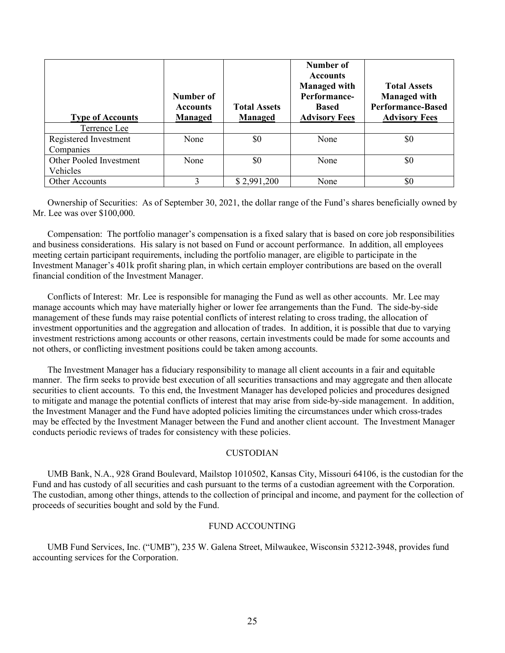| <b>Type of Accounts</b>             | Number of<br><b>Accounts</b><br><b>Managed</b> | <b>Total Assets</b><br>Managed | Number of<br><b>Accounts</b><br><b>Managed with</b><br>Performance-<br>Based<br><b>Advisory Fees</b> | <b>Total Assets</b><br><b>Managed with</b><br><b>Performance-Based</b><br><b>Advisory Fees</b> |
|-------------------------------------|------------------------------------------------|--------------------------------|------------------------------------------------------------------------------------------------------|------------------------------------------------------------------------------------------------|
| Terrence Lee                        |                                                |                                |                                                                                                      |                                                                                                |
| Registered Investment<br>Companies  | None                                           | \$0                            | None                                                                                                 | \$0                                                                                            |
| Other Pooled Investment<br>Vehicles | None                                           | \$0                            | None                                                                                                 | \$0                                                                                            |
| <b>Other Accounts</b>               |                                                | \$2,991,200                    | None                                                                                                 | \$0                                                                                            |

Ownership of Securities: As of September 30, 2021, the dollar range of the Fund's shares beneficially owned by Mr. Lee was over \$100,000.

Compensation: The portfolio manager's compensation is a fixed salary that is based on core job responsibilities and business considerations. His salary is not based on Fund or account performance. In addition, all employees meeting certain participant requirements, including the portfolio manager, are eligible to participate in the Investment Manager's 401k profit sharing plan, in which certain employer contributions are based on the overall financial condition of the Investment Manager.

Conflicts of Interest: Mr. Lee is responsible for managing the Fund as well as other accounts. Mr. Lee may manage accounts which may have materially higher or lower fee arrangements than the Fund. The side-by-side management of these funds may raise potential conflicts of interest relating to cross trading, the allocation of investment opportunities and the aggregation and allocation of trades. In addition, it is possible that due to varying investment restrictions among accounts or other reasons, certain investments could be made for some accounts and not others, or conflicting investment positions could be taken among accounts.

The Investment Manager has a fiduciary responsibility to manage all client accounts in a fair and equitable manner. The firm seeks to provide best execution of all securities transactions and may aggregate and then allocate securities to client accounts. To this end, the Investment Manager has developed policies and procedures designed to mitigate and manage the potential conflicts of interest that may arise from side-by-side management. In addition, the Investment Manager and the Fund have adopted policies limiting the circumstances under which cross-trades may be effected by the Investment Manager between the Fund and another client account. The Investment Manager conducts periodic reviews of trades for consistency with these policies.

## CUSTODIAN

UMB Bank, N.A., 928 Grand Boulevard, Mailstop 1010502, Kansas City, Missouri 64106, is the custodian for the Fund and has custody of all securities and cash pursuant to the terms of a custodian agreement with the Corporation. The custodian, among other things, attends to the collection of principal and income, and payment for the collection of proceeds of securities bought and sold by the Fund.

#### FUND ACCOUNTING

UMB Fund Services, Inc. ("UMB"), 235 W. Galena Street, Milwaukee, Wisconsin 53212-3948, provides fund accounting services for the Corporation.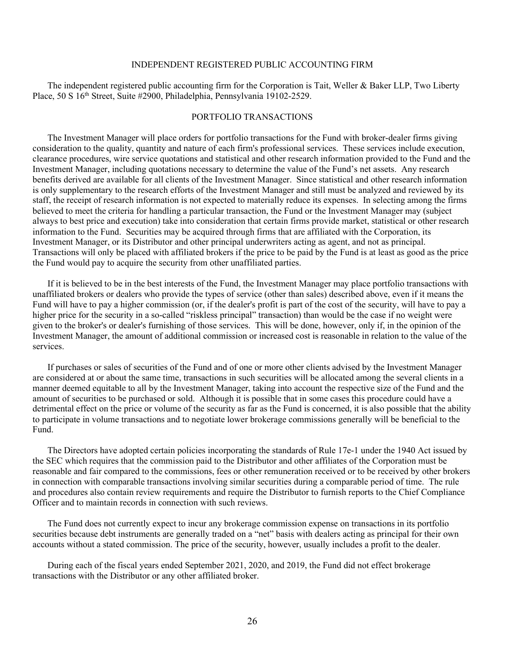## INDEPENDENT REGISTERED PUBLIC ACCOUNTING FIRM

The independent registered public accounting firm for the Corporation is Tait, Weller & Baker LLP, Two Liberty Place, 50 S 16th Street, Suite #2900, Philadelphia, Pennsylvania 19102-2529.

#### PORTFOLIO TRANSACTIONS

The Investment Manager will place orders for portfolio transactions for the Fund with broker-dealer firms giving consideration to the quality, quantity and nature of each firm's professional services. These services include execution, clearance procedures, wire service quotations and statistical and other research information provided to the Fund and the Investment Manager, including quotations necessary to determine the value of the Fund's net assets. Any research benefits derived are available for all clients of the Investment Manager. Since statistical and other research information is only supplementary to the research efforts of the Investment Manager and still must be analyzed and reviewed by its staff, the receipt of research information is not expected to materially reduce its expenses. In selecting among the firms believed to meet the criteria for handling a particular transaction, the Fund or the Investment Manager may (subject always to best price and execution) take into consideration that certain firms provide market, statistical or other research information to the Fund. Securities may be acquired through firms that are affiliated with the Corporation, its Investment Manager, or its Distributor and other principal underwriters acting as agent, and not as principal. Transactions will only be placed with affiliated brokers if the price to be paid by the Fund is at least as good as the price the Fund would pay to acquire the security from other unaffiliated parties.

If it is believed to be in the best interests of the Fund, the Investment Manager may place portfolio transactions with unaffiliated brokers or dealers who provide the types of service (other than sales) described above, even if it means the Fund will have to pay a higher commission (or, if the dealer's profit is part of the cost of the security, will have to pay a higher price for the security in a so-called "riskless principal" transaction) than would be the case if no weight were given to the broker's or dealer's furnishing of those services. This will be done, however, only if, in the opinion of the Investment Manager, the amount of additional commission or increased cost is reasonable in relation to the value of the services.

If purchases or sales of securities of the Fund and of one or more other clients advised by the Investment Manager are considered at or about the same time, transactions in such securities will be allocated among the several clients in a manner deemed equitable to all by the Investment Manager, taking into account the respective size of the Fund and the amount of securities to be purchased or sold. Although it is possible that in some cases this procedure could have a detrimental effect on the price or volume of the security as far as the Fund is concerned, it is also possible that the ability to participate in volume transactions and to negotiate lower brokerage commissions generally will be beneficial to the Fund.

The Directors have adopted certain policies incorporating the standards of Rule 17e-1 under the 1940 Act issued by the SEC which requires that the commission paid to the Distributor and other affiliates of the Corporation must be reasonable and fair compared to the commissions, fees or other remuneration received or to be received by other brokers in connection with comparable transactions involving similar securities during a comparable period of time. The rule and procedures also contain review requirements and require the Distributor to furnish reports to the Chief Compliance Officer and to maintain records in connection with such reviews.

The Fund does not currently expect to incur any brokerage commission expense on transactions in its portfolio securities because debt instruments are generally traded on a "net" basis with dealers acting as principal for their own accounts without a stated commission. The price of the security, however, usually includes a profit to the dealer.

During each of the fiscal years ended September 2021, 2020, and 2019, the Fund did not effect brokerage transactions with the Distributor or any other affiliated broker.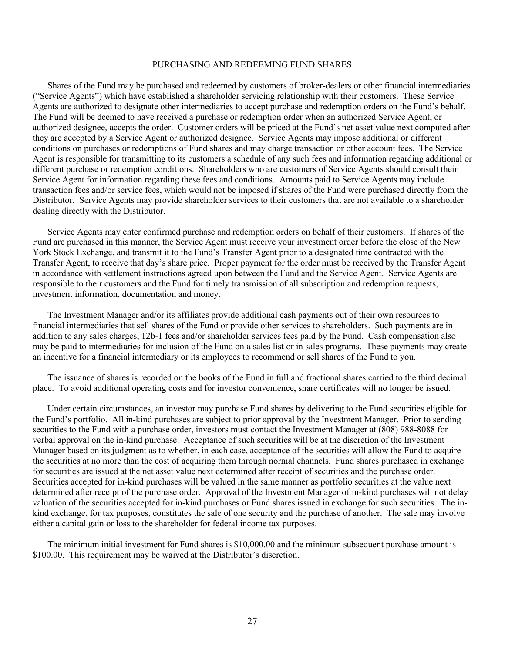#### PURCHASING AND REDEEMING FUND SHARES

Shares of the Fund may be purchased and redeemed by customers of broker-dealers or other financial intermediaries ("Service Agents") which have established a shareholder servicing relationship with their customers. These Service Agents are authorized to designate other intermediaries to accept purchase and redemption orders on the Fund's behalf. The Fund will be deemed to have received a purchase or redemption order when an authorized Service Agent, or authorized designee, accepts the order. Customer orders will be priced at the Fund's net asset value next computed after they are accepted by a Service Agent or authorized designee. Service Agents may impose additional or different conditions on purchases or redemptions of Fund shares and may charge transaction or other account fees. The Service Agent is responsible for transmitting to its customers a schedule of any such fees and information regarding additional or different purchase or redemption conditions. Shareholders who are customers of Service Agents should consult their Service Agent for information regarding these fees and conditions. Amounts paid to Service Agents may include transaction fees and/or service fees, which would not be imposed if shares of the Fund were purchased directly from the Distributor. Service Agents may provide shareholder services to their customers that are not available to a shareholder dealing directly with the Distributor.

Service Agents may enter confirmed purchase and redemption orders on behalf of their customers. If shares of the Fund are purchased in this manner, the Service Agent must receive your investment order before the close of the New York Stock Exchange, and transmit it to the Fund's Transfer Agent prior to a designated time contracted with the Transfer Agent, to receive that day's share price. Proper payment for the order must be received by the Transfer Agent in accordance with settlement instructions agreed upon between the Fund and the Service Agent. Service Agents are responsible to their customers and the Fund for timely transmission of all subscription and redemption requests, investment information, documentation and money.

The Investment Manager and/or its affiliates provide additional cash payments out of their own resources to financial intermediaries that sell shares of the Fund or provide other services to shareholders. Such payments are in addition to any sales charges, 12b-1 fees and/or shareholder services fees paid by the Fund. Cash compensation also may be paid to intermediaries for inclusion of the Fund on a sales list or in sales programs. These payments may create an incentive for a financial intermediary or its employees to recommend or sell shares of the Fund to you.

The issuance of shares is recorded on the books of the Fund in full and fractional shares carried to the third decimal place. To avoid additional operating costs and for investor convenience, share certificates will no longer be issued.

Under certain circumstances, an investor may purchase Fund shares by delivering to the Fund securities eligible for the Fund's portfolio. All in-kind purchases are subject to prior approval by the Investment Manager. Prior to sending securities to the Fund with a purchase order, investors must contact the Investment Manager at (808) 988-8088 for verbal approval on the in-kind purchase. Acceptance of such securities will be at the discretion of the Investment Manager based on its judgment as to whether, in each case, acceptance of the securities will allow the Fund to acquire the securities at no more than the cost of acquiring them through normal channels. Fund shares purchased in exchange for securities are issued at the net asset value next determined after receipt of securities and the purchase order. Securities accepted for in-kind purchases will be valued in the same manner as portfolio securities at the value next determined after receipt of the purchase order. Approval of the Investment Manager of in-kind purchases will not delay valuation of the securities accepted for in-kind purchases or Fund shares issued in exchange for such securities. The inkind exchange, for tax purposes, constitutes the sale of one security and the purchase of another. The sale may involve either a capital gain or loss to the shareholder for federal income tax purposes.

The minimum initial investment for Fund shares is \$10,000.00 and the minimum subsequent purchase amount is \$100.00. This requirement may be waived at the Distributor's discretion.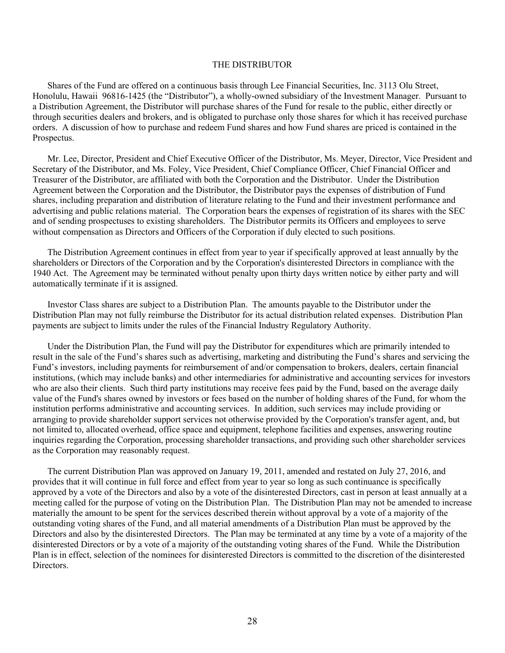#### THE DISTRIBUTOR

Shares of the Fund are offered on a continuous basis through Lee Financial Securities, Inc. 3113 Olu Street, Honolulu, Hawaii 96816-1425 (the "Distributor"), a wholly-owned subsidiary of the Investment Manager. Pursuant to a Distribution Agreement, the Distributor will purchase shares of the Fund for resale to the public, either directly or through securities dealers and brokers, and is obligated to purchase only those shares for which it has received purchase orders. A discussion of how to purchase and redeem Fund shares and how Fund shares are priced is contained in the Prospectus.

Mr. Lee, Director, President and Chief Executive Officer of the Distributor, Ms. Meyer, Director, Vice President and Secretary of the Distributor, and Ms. Foley, Vice President, Chief Compliance Officer, Chief Financial Officer and Treasurer of the Distributor, are affiliated with both the Corporation and the Distributor. Under the Distribution Agreement between the Corporation and the Distributor, the Distributor pays the expenses of distribution of Fund shares, including preparation and distribution of literature relating to the Fund and their investment performance and advertising and public relations material. The Corporation bears the expenses of registration of its shares with the SEC and of sending prospectuses to existing shareholders. The Distributor permits its Officers and employees to serve without compensation as Directors and Officers of the Corporation if duly elected to such positions.

The Distribution Agreement continues in effect from year to year if specifically approved at least annually by the shareholders or Directors of the Corporation and by the Corporation's disinterested Directors in compliance with the 1940 Act. The Agreement may be terminated without penalty upon thirty days written notice by either party and will automatically terminate if it is assigned.

Investor Class shares are subject to a Distribution Plan. The amounts payable to the Distributor under the Distribution Plan may not fully reimburse the Distributor for its actual distribution related expenses. Distribution Plan payments are subject to limits under the rules of the Financial Industry Regulatory Authority.

Under the Distribution Plan, the Fund will pay the Distributor for expenditures which are primarily intended to result in the sale of the Fund's shares such as advertising, marketing and distributing the Fund's shares and servicing the Fund's investors, including payments for reimbursement of and/or compensation to brokers, dealers, certain financial institutions, (which may include banks) and other intermediaries for administrative and accounting services for investors who are also their clients. Such third party institutions may receive fees paid by the Fund, based on the average daily value of the Fund's shares owned by investors or fees based on the number of holding shares of the Fund, for whom the institution performs administrative and accounting services. In addition, such services may include providing or arranging to provide shareholder support services not otherwise provided by the Corporation's transfer agent, and, but not limited to, allocated overhead, office space and equipment, telephone facilities and expenses, answering routine inquiries regarding the Corporation, processing shareholder transactions, and providing such other shareholder services as the Corporation may reasonably request.

The current Distribution Plan was approved on January 19, 2011, amended and restated on July 27, 2016, and provides that it will continue in full force and effect from year to year so long as such continuance is specifically approved by a vote of the Directors and also by a vote of the disinterested Directors, cast in person at least annually at a meeting called for the purpose of voting on the Distribution Plan. The Distribution Plan may not be amended to increase materially the amount to be spent for the services described therein without approval by a vote of a majority of the outstanding voting shares of the Fund, and all material amendments of a Distribution Plan must be approved by the Directors and also by the disinterested Directors. The Plan may be terminated at any time by a vote of a majority of the disinterested Directors or by a vote of a majority of the outstanding voting shares of the Fund. While the Distribution Plan is in effect, selection of the nominees for disinterested Directors is committed to the discretion of the disinterested Directors.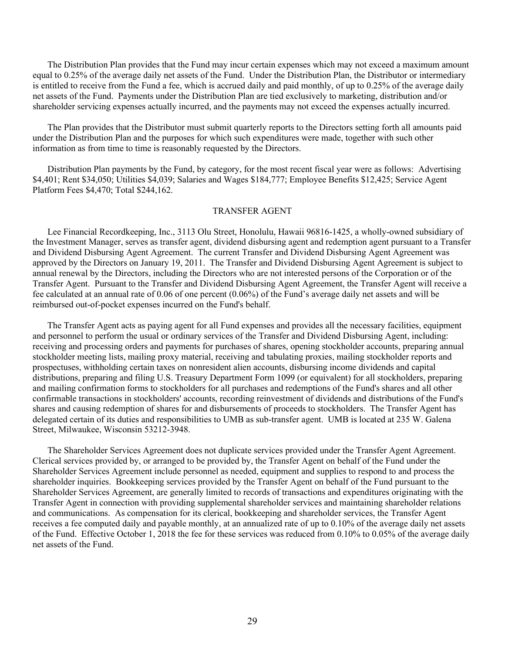The Distribution Plan provides that the Fund may incur certain expenses which may not exceed a maximum amount equal to 0.25% of the average daily net assets of the Fund. Under the Distribution Plan, the Distributor or intermediary is entitled to receive from the Fund a fee, which is accrued daily and paid monthly, of up to 0.25% of the average daily net assets of the Fund. Payments under the Distribution Plan are tied exclusively to marketing, distribution and/or shareholder servicing expenses actually incurred, and the payments may not exceed the expenses actually incurred.

The Plan provides that the Distributor must submit quarterly reports to the Directors setting forth all amounts paid under the Distribution Plan and the purposes for which such expenditures were made, together with such other information as from time to time is reasonably requested by the Directors.

Distribution Plan payments by the Fund, by category, for the most recent fiscal year were as follows: Advertising \$4,401; Rent \$34,050; Utilities \$4,039; Salaries and Wages \$184,777; Employee Benefits \$12,425; Service Agent Platform Fees \$4,470; Total \$244,162.

#### TRANSFER AGENT

Lee Financial Recordkeeping, Inc., 3113 Olu Street, Honolulu, Hawaii 96816-1425, a wholly-owned subsidiary of the Investment Manager, serves as transfer agent, dividend disbursing agent and redemption agent pursuant to a Transfer and Dividend Disbursing Agent Agreement. The current Transfer and Dividend Disbursing Agent Agreement was approved by the Directors on January 19, 2011. The Transfer and Dividend Disbursing Agent Agreement is subject to annual renewal by the Directors, including the Directors who are not interested persons of the Corporation or of the Transfer Agent. Pursuant to the Transfer and Dividend Disbursing Agent Agreement, the Transfer Agent will receive a fee calculated at an annual rate of 0.06 of one percent (0.06%) of the Fund's average daily net assets and will be reimbursed out-of-pocket expenses incurred on the Fund's behalf.

The Transfer Agent acts as paying agent for all Fund expenses and provides all the necessary facilities, equipment and personnel to perform the usual or ordinary services of the Transfer and Dividend Disbursing Agent, including: receiving and processing orders and payments for purchases of shares, opening stockholder accounts, preparing annual stockholder meeting lists, mailing proxy material, receiving and tabulating proxies, mailing stockholder reports and prospectuses, withholding certain taxes on nonresident alien accounts, disbursing income dividends and capital distributions, preparing and filing U.S. Treasury Department Form 1099 (or equivalent) for all stockholders, preparing and mailing confirmation forms to stockholders for all purchases and redemptions of the Fund's shares and all other confirmable transactions in stockholders' accounts, recording reinvestment of dividends and distributions of the Fund's shares and causing redemption of shares for and disbursements of proceeds to stockholders. The Transfer Agent has delegated certain of its duties and responsibilities to UMB as sub-transfer agent. UMB is located at 235 W. Galena Street, Milwaukee, Wisconsin 53212-3948.

The Shareholder Services Agreement does not duplicate services provided under the Transfer Agent Agreement. Clerical services provided by, or arranged to be provided by, the Transfer Agent on behalf of the Fund under the Shareholder Services Agreement include personnel as needed, equipment and supplies to respond to and process the shareholder inquiries. Bookkeeping services provided by the Transfer Agent on behalf of the Fund pursuant to the Shareholder Services Agreement, are generally limited to records of transactions and expenditures originating with the Transfer Agent in connection with providing supplemental shareholder services and maintaining shareholder relations and communications. As compensation for its clerical, bookkeeping and shareholder services, the Transfer Agent receives a fee computed daily and payable monthly, at an annualized rate of up to 0.10% of the average daily net assets of the Fund. Effective October 1, 2018 the fee for these services was reduced from 0.10% to 0.05% of the average daily net assets of the Fund.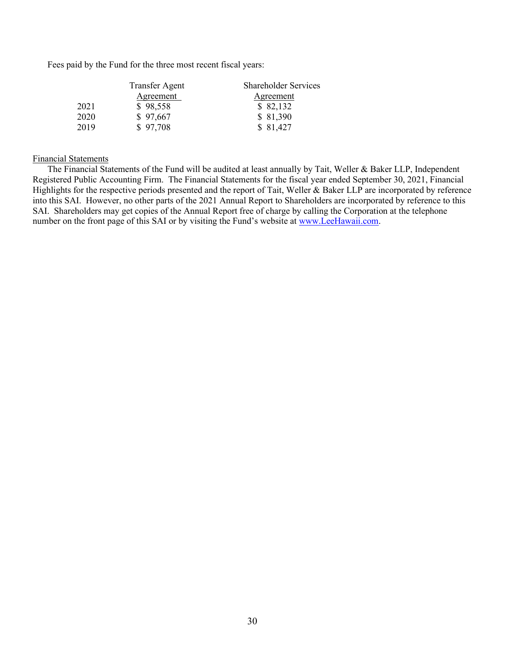Fees paid by the Fund for the three most recent fiscal years:

|      | <b>Transfer Agent</b> | <b>Shareholder Services</b> |
|------|-----------------------|-----------------------------|
|      | Agreement             | <u>Agreement</u>            |
| 2021 | \$98,558              | \$82,132                    |
| 2020 | \$97,667              | \$81,390                    |
| 2019 | \$97,708              | \$81,427                    |

## Financial Statements

The Financial Statements of the Fund will be audited at least annually by Tait, Weller & Baker LLP, Independent Registered Public Accounting Firm. The Financial Statements for the fiscal year ended September 30, 2021, Financial Highlights for the respective periods presented and the report of Tait, Weller & Baker LLP are incorporated by reference into this SAI. However, no other parts of the 2021 Annual Report to Shareholders are incorporated by reference to this SAI. Shareholders may get copies of the Annual Report free of charge by calling the Corporation at the telephone number on the front page of this SAI or by visiting the Fund's website at [www.LeeHawaii.com.](http://www.leehawaii.com/)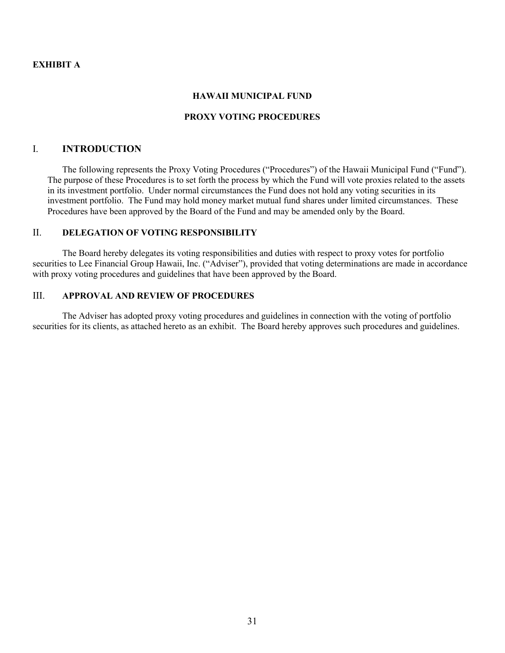## **EXHIBIT A**

## **HAWAII MUNICIPAL FUND**

#### **PROXY VOTING PROCEDURES**

## I. **INTRODUCTION**

The following represents the Proxy Voting Procedures ("Procedures") of the Hawaii Municipal Fund ("Fund"). The purpose of these Procedures is to set forth the process by which the Fund will vote proxies related to the assets in its investment portfolio. Under normal circumstances the Fund does not hold any voting securities in its investment portfolio. The Fund may hold money market mutual fund shares under limited circumstances. These Procedures have been approved by the Board of the Fund and may be amended only by the Board.

# II. **DELEGATION OF VOTING RESPONSIBILITY**

The Board hereby delegates its voting responsibilities and duties with respect to proxy votes for portfolio securities to Lee Financial Group Hawaii, Inc. ("Adviser"), provided that voting determinations are made in accordance with proxy voting procedures and guidelines that have been approved by the Board.

## III. **APPROVAL AND REVIEW OF PROCEDURES**

The Adviser has adopted proxy voting procedures and guidelines in connection with the voting of portfolio securities for its clients, as attached hereto as an exhibit. The Board hereby approves such procedures and guidelines.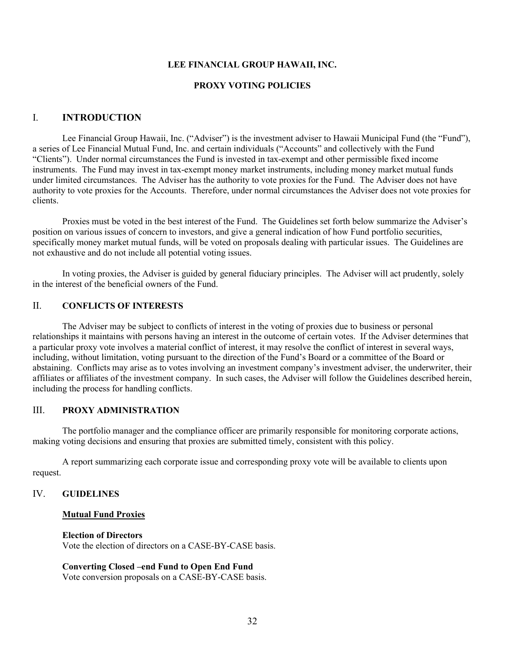#### **LEE FINANCIAL GROUP HAWAII, INC.**

#### **PROXY VOTING POLICIES**

## I. **INTRODUCTION**

Lee Financial Group Hawaii, Inc. ("Adviser") is the investment adviser to Hawaii Municipal Fund (the "Fund"), a series of Lee Financial Mutual Fund, Inc. and certain individuals ("Accounts" and collectively with the Fund "Clients"). Under normal circumstances the Fund is invested in tax-exempt and other permissible fixed income instruments. The Fund may invest in tax-exempt money market instruments, including money market mutual funds under limited circumstances. The Adviser has the authority to vote proxies for the Fund. The Adviser does not have authority to vote proxies for the Accounts. Therefore, under normal circumstances the Adviser does not vote proxies for clients.

Proxies must be voted in the best interest of the Fund. The Guidelines set forth below summarize the Adviser's position on various issues of concern to investors, and give a general indication of how Fund portfolio securities, specifically money market mutual funds, will be voted on proposals dealing with particular issues. The Guidelines are not exhaustive and do not include all potential voting issues.

In voting proxies, the Adviser is guided by general fiduciary principles. The Adviser will act prudently, solely in the interest of the beneficial owners of the Fund.

## II. **CONFLICTS OF INTERESTS**

The Adviser may be subject to conflicts of interest in the voting of proxies due to business or personal relationships it maintains with persons having an interest in the outcome of certain votes. If the Adviser determines that a particular proxy vote involves a material conflict of interest, it may resolve the conflict of interest in several ways, including, without limitation, voting pursuant to the direction of the Fund's Board or a committee of the Board or abstaining. Conflicts may arise as to votes involving an investment company's investment adviser, the underwriter, their affiliates or affiliates of the investment company. In such cases, the Adviser will follow the Guidelines described herein, including the process for handling conflicts.

# III. **PROXY ADMINISTRATION**

The portfolio manager and the compliance officer are primarily responsible for monitoring corporate actions, making voting decisions and ensuring that proxies are submitted timely, consistent with this policy.

A report summarizing each corporate issue and corresponding proxy vote will be available to clients upon request.

#### IV. **GUIDELINES**

#### **Mutual Fund Proxies**

#### **Election of Directors**

Vote the election of directors on a CASE-BY-CASE basis.

## **Converting Closed –end Fund to Open End Fund**

Vote conversion proposals on a CASE-BY-CASE basis.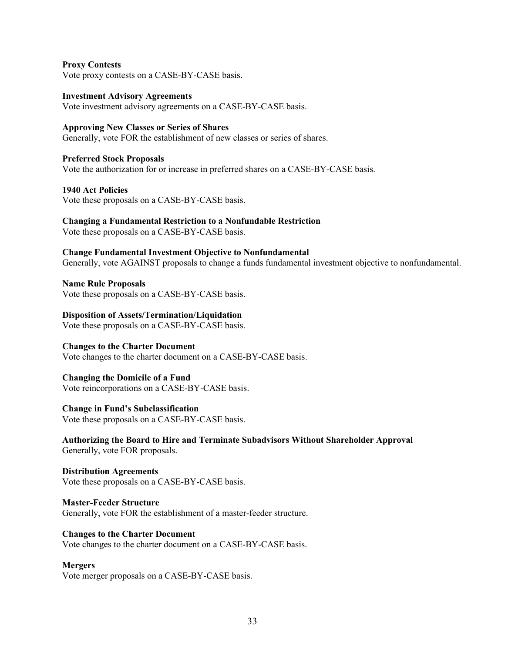## **Proxy Contests**

Vote proxy contests on a CASE-BY-CASE basis.

**Investment Advisory Agreements** Vote investment advisory agreements on a CASE-BY-CASE basis.

## **Approving New Classes or Series of Shares**

Generally, vote FOR the establishment of new classes or series of shares.

**Preferred Stock Proposals** Vote the authorization for or increase in preferred shares on a CASE-BY-CASE basis.

**1940 Act Policies**

Vote these proposals on a CASE-BY-CASE basis.

#### **Changing a Fundamental Restriction to a Nonfundable Restriction**

Vote these proposals on a CASE-BY-CASE basis.

#### **Change Fundamental Investment Objective to Nonfundamental**

Generally, vote AGAINST proposals to change a funds fundamental investment objective to nonfundamental.

**Name Rule Proposals**

Vote these proposals on a CASE-BY-CASE basis.

#### **Disposition of Assets/Termination/Liquidation**

Vote these proposals on a CASE-BY-CASE basis.

## **Changes to the Charter Document**

Vote changes to the charter document on a CASE-BY-CASE basis.

#### **Changing the Domicile of a Fund**

Vote reincorporations on a CASE-BY-CASE basis.

#### **Change in Fund's Subclassification**

Vote these proposals on a CASE-BY-CASE basis.

**Authorizing the Board to Hire and Terminate Subadvisors Without Shareholder Approval** Generally, vote FOR proposals.

**Distribution Agreements** Vote these proposals on a CASE-BY-CASE basis.

**Master-Feeder Structure** Generally, vote FOR the establishment of a master-feeder structure.

## **Changes to the Charter Document** Vote changes to the charter document on a CASE-BY-CASE basis.

## **Mergers**

Vote merger proposals on a CASE-BY-CASE basis.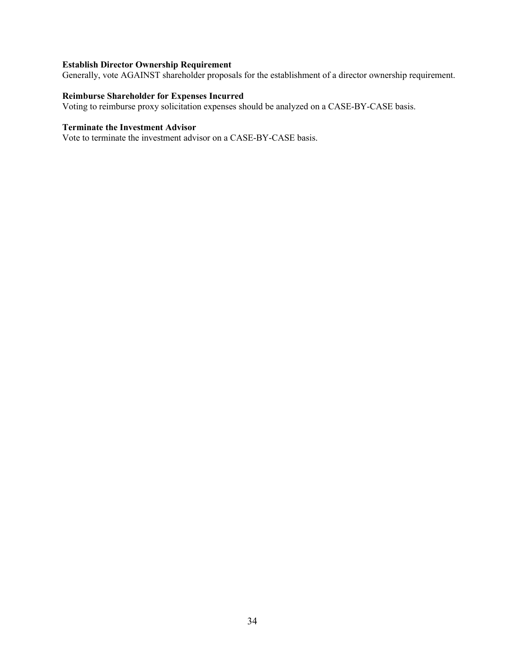# **Establish Director Ownership Requirement**

Generally, vote AGAINST shareholder proposals for the establishment of a director ownership requirement.

# **Reimburse Shareholder for Expenses Incurred**

Voting to reimburse proxy solicitation expenses should be analyzed on a CASE-BY-CASE basis.

# **Terminate the Investment Advisor**

Vote to terminate the investment advisor on a CASE-BY-CASE basis.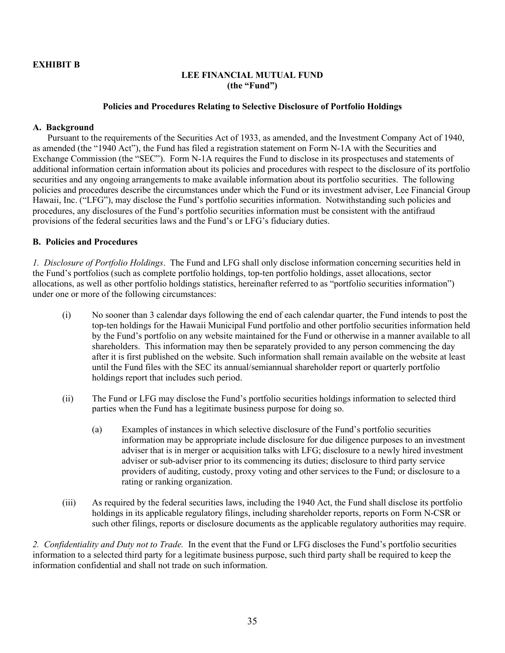# **EXHIBIT B**

# **LEE FINANCIAL MUTUAL FUND (the "Fund")**

## **Policies and Procedures Relating to Selective Disclosure of Portfolio Holdings**

## **A. Background**

Pursuant to the requirements of the Securities Act of 1933, as amended, and the Investment Company Act of 1940, as amended (the "1940 Act"), the Fund has filed a registration statement on Form N-1A with the Securities and Exchange Commission (the "SEC"). Form N-1A requires the Fund to disclose in its prospectuses and statements of additional information certain information about its policies and procedures with respect to the disclosure of its portfolio securities and any ongoing arrangements to make available information about its portfolio securities. The following policies and procedures describe the circumstances under which the Fund or its investment adviser, Lee Financial Group Hawaii, Inc. ("LFG"), may disclose the Fund's portfolio securities information. Notwithstanding such policies and procedures, any disclosures of the Fund's portfolio securities information must be consistent with the antifraud provisions of the federal securities laws and the Fund's or LFG's fiduciary duties.

## **B. Policies and Procedures**

*1. Disclosure of Portfolio Holdings*. The Fund and LFG shall only disclose information concerning securities held in the Fund's portfolios (such as complete portfolio holdings, top-ten portfolio holdings, asset allocations, sector allocations, as well as other portfolio holdings statistics, hereinafter referred to as "portfolio securities information") under one or more of the following circumstances:

- (i) No sooner than 3 calendar days following the end of each calendar quarter, the Fund intends to post the top-ten holdings for the Hawaii Municipal Fund portfolio and other portfolio securities information held by the Fund's portfolio on any website maintained for the Fund or otherwise in a manner available to all shareholders. This information may then be separately provided to any person commencing the day after it is first published on the website. Such information shall remain available on the website at least until the Fund files with the SEC its annual/semiannual shareholder report or quarterly portfolio holdings report that includes such period.
- (ii) The Fund or LFG may disclose the Fund's portfolio securities holdings information to selected third parties when the Fund has a legitimate business purpose for doing so.
	- (a) Examples of instances in which selective disclosure of the Fund's portfolio securities information may be appropriate include disclosure for due diligence purposes to an investment adviser that is in merger or acquisition talks with LFG; disclosure to a newly hired investment adviser or sub-adviser prior to its commencing its duties; disclosure to third party service providers of auditing, custody, proxy voting and other services to the Fund; or disclosure to a rating or ranking organization.
- (iii) As required by the federal securities laws, including the 1940 Act, the Fund shall disclose its portfolio holdings in its applicable regulatory filings, including shareholder reports, reports on Form N-CSR or such other filings, reports or disclosure documents as the applicable regulatory authorities may require.

*2. Confidentiality and Duty not to Trade.* In the event that the Fund or LFG discloses the Fund's portfolio securities information to a selected third party for a legitimate business purpose, such third party shall be required to keep the information confidential and shall not trade on such information.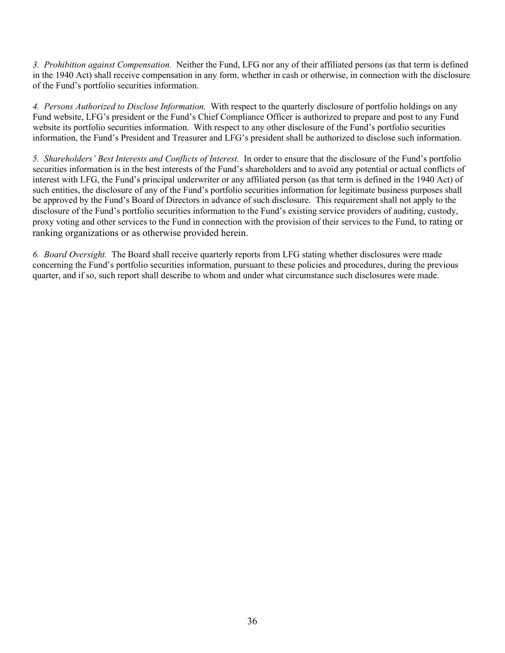*3. Prohibition against Compensation.* Neither the Fund, LFG nor any of their affiliated persons (as that term is defined in the 1940 Act) shall receive compensation in any form, whether in cash or otherwise, in connection with the disclosure of the Fund's portfolio securities information.

*4. Persons Authorized to Disclose Information.* With respect to the quarterly disclosure of portfolio holdings on any Fund website, LFG's president or the Fund's Chief Compliance Officer is authorized to prepare and post to any Fund website its portfolio securities information. With respect to any other disclosure of the Fund's portfolio securities information, the Fund's President and Treasurer and LFG's president shall be authorized to disclose such information.

*5. Shareholders' Best Interests and Conflicts of Interest.* In order to ensure that the disclosure of the Fund's portfolio securities information is in the best interests of the Fund's shareholders and to avoid any potential or actual conflicts of interest with LFG, the Fund's principal underwriter or any affiliated person (as that term is defined in the 1940 Act) of such entities, the disclosure of any of the Fund's portfolio securities information for legitimate business purposes shall be approved by the Fund's Board of Directors in advance of such disclosure. This requirement shall not apply to the disclosure of the Fund's portfolio securities information to the Fund's existing service providers of auditing, custody, proxy voting and other services to the Fund in connection with the provision of their services to the Fund, to rating or ranking organizations or as otherwise provided herein.

*6. Board Oversight.* The Board shall receive quarterly reports from LFG stating whether disclosures were made concerning the Fund's portfolio securities information, pursuant to these policies and procedures, during the previous quarter, and if so, such report shall describe to whom and under what circumstance such disclosures were made.